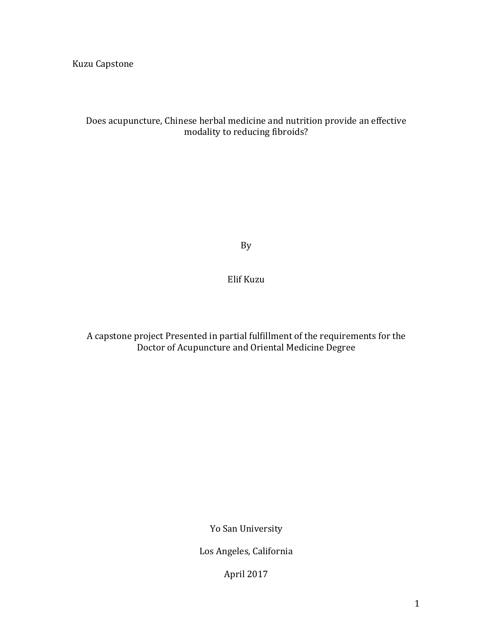Kuzu Capstone

# Does acupuncture, Chinese herbal medicine and nutrition provide an effective modality to reducing fibroids?

By

Elif Kuzu

A capstone project Presented in partial fulfillment of the requirements for the Doctor of Acupuncture and Oriental Medicine Degree

Yo San University

Los Angeles, California

April 2017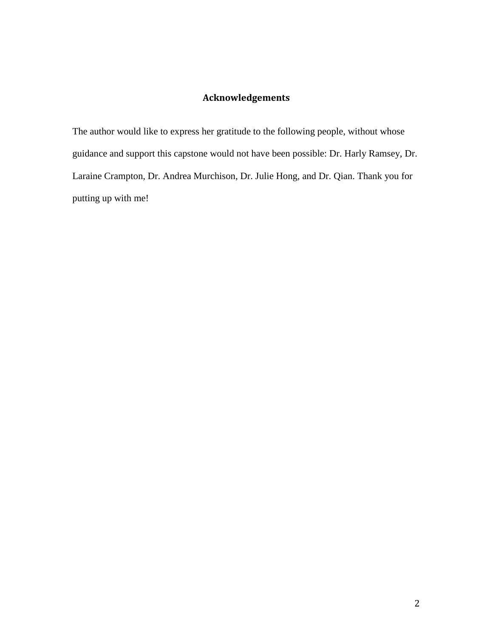# **Acknowledgements**

The author would like to express her gratitude to the following people, without whose guidance and support this capstone would not have been possible: Dr. Harly Ramsey, Dr. Laraine Crampton, Dr. Andrea Murchison, Dr. Julie Hong, and Dr. Qian. Thank you for putting up with me!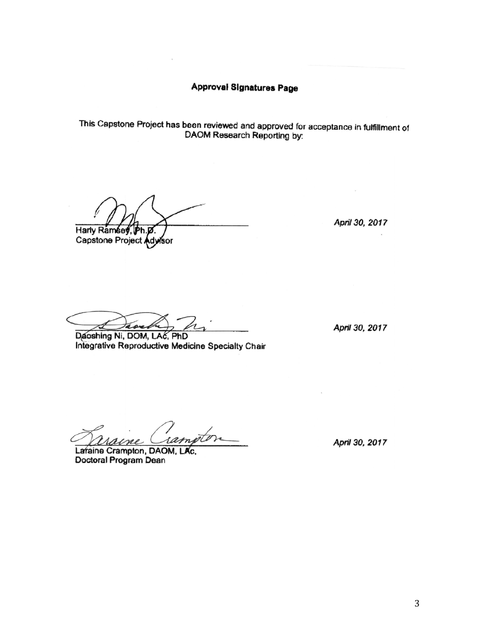**Approval Signatures Page** 

This Capstone Project has been reviewed and approved for acceptance in fulfillment of DAOM Research Reporting by:

Harly Ramsey, Ph.p.

Capstone Project Advisor

April 30, 2017

those

Daoshing Ni, DOM, LAC, PhD Integrative Reproductive Medicine Specialty Chair

April 30, 2017

Laraine Crampton, DAOM, LAc. Doctoral Program Dean

April 30, 2017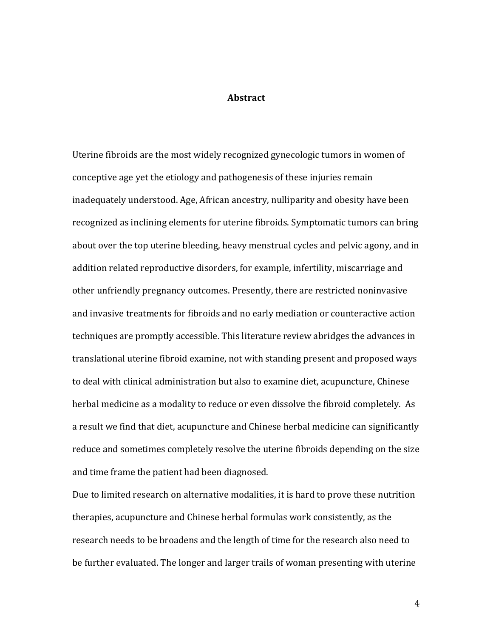# **Abstract**

Uterine fibroids are the most widely recognized gynecologic tumors in women of conceptive age yet the etiology and pathogenesis of these injuries remain inadequately understood. Age, African ancestry, nulliparity and obesity have been recognized as inclining elements for uterine fibroids. Symptomatic tumors can bring about over the top uterine bleeding, heavy menstrual cycles and pelvic agony, and in addition related reproductive disorders, for example, infertility, miscarriage and other unfriendly pregnancy outcomes. Presently, there are restricted noninvasive and invasive treatments for fibroids and no early mediation or counteractive action techniques are promptly accessible. This literature review abridges the advances in translational uterine fibroid examine, not with standing present and proposed ways to deal with clinical administration but also to examine diet, acupuncture, Chinese herbal medicine as a modality to reduce or even dissolve the fibroid completely. As a result we find that diet, acupuncture and Chinese herbal medicine can significantly reduce and sometimes completely resolve the uterine fibroids depending on the size and time frame the patient had been diagnosed.

Due to limited research on alternative modalities, it is hard to prove these nutrition therapies, acupuncture and Chinese herbal formulas work consistently, as the research needs to be broadens and the length of time for the research also need to be further evaluated. The longer and larger trails of woman presenting with uterine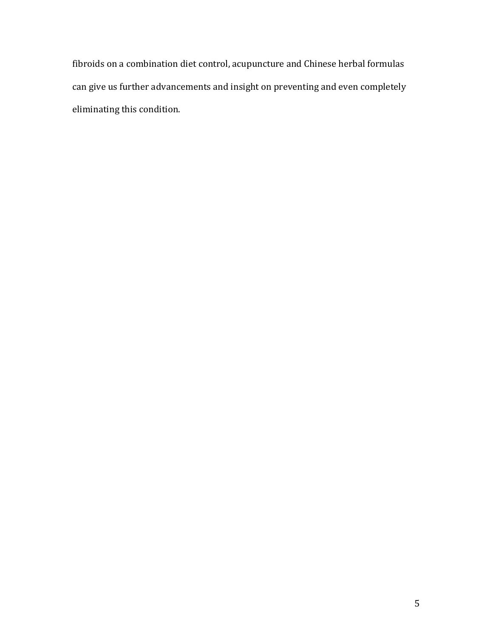fibroids on a combination diet control, acupuncture and Chinese herbal formulas can give us further advancements and insight on preventing and even completely eliminating this condition.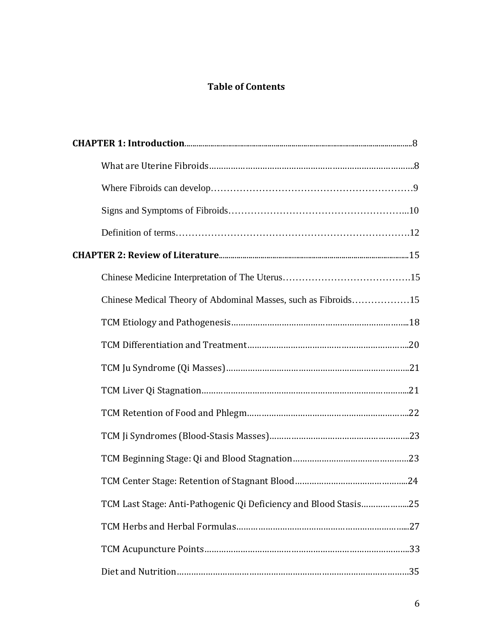# **Table of Contents**

| Chinese Medical Theory of Abdominal Masses, such as Fibroids15   |  |
|------------------------------------------------------------------|--|
|                                                                  |  |
|                                                                  |  |
|                                                                  |  |
|                                                                  |  |
|                                                                  |  |
|                                                                  |  |
|                                                                  |  |
|                                                                  |  |
| TCM Last Stage: Anti-Pathogenic Qi Deficiency and Blood Stasis25 |  |
|                                                                  |  |
|                                                                  |  |
|                                                                  |  |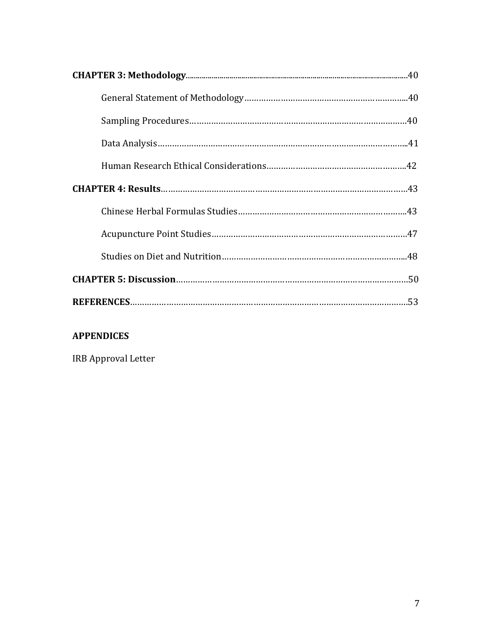# **APPENDICES**

IRB Approval Letter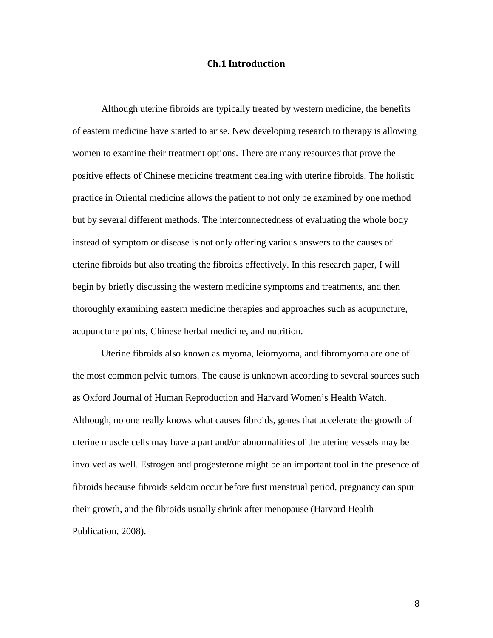#### **Ch.1 Introduction**

Although uterine fibroids are typically treated by western medicine, the benefits of eastern medicine have started to arise. New developing research to therapy is allowing women to examine their treatment options. There are many resources that prove the positive effects of Chinese medicine treatment dealing with uterine fibroids. The holistic practice in Oriental medicine allows the patient to not only be examined by one method but by several different methods. The interconnectedness of evaluating the whole body instead of symptom or disease is not only offering various answers to the causes of uterine fibroids but also treating the fibroids effectively. In this research paper, I will begin by briefly discussing the western medicine symptoms and treatments, and then thoroughly examining eastern medicine therapies and approaches such as acupuncture, acupuncture points, Chinese herbal medicine, and nutrition.

Uterine fibroids also known as myoma, leiomyoma, and fibromyoma are one of the most common pelvic tumors. The cause is unknown according to several sources such as Oxford Journal of Human Reproduction and Harvard Women's Health Watch. Although, no one really knows what causes fibroids, genes that accelerate the growth of uterine muscle cells may have a part and/or abnormalities of the uterine vessels may be involved as well. Estrogen and progesterone might be an important tool in the presence of fibroids because fibroids seldom occur before first menstrual period, pregnancy can spur their growth, and the fibroids usually shrink after menopause (Harvard Health Publication, 2008).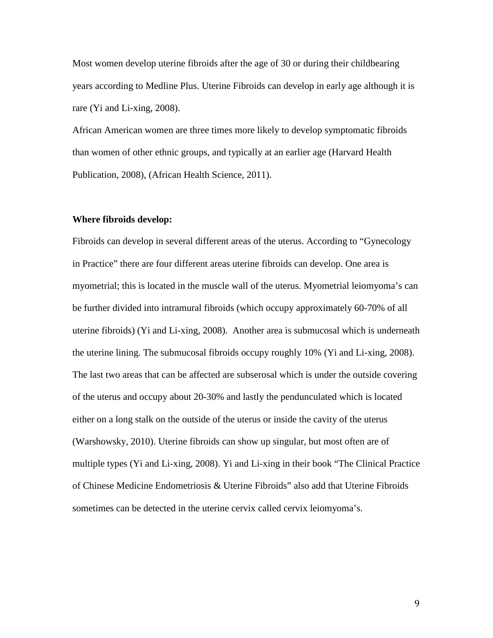Most women develop uterine fibroids after the age of 30 or during their childbearing years according to Medline Plus. Uterine Fibroids can develop in early age although it is rare (Yi and Li-xing, 2008).

African American women are three times more likely to develop symptomatic fibroids than women of other ethnic groups, and typically at an earlier age (Harvard Health Publication, 2008), (African Health Science, 2011).

#### **Where fibroids develop:**

Fibroids can develop in several different areas of the uterus. According to "Gynecology in Practice" there are four different areas uterine fibroids can develop. One area is myometrial; this is located in the muscle wall of the uterus. Myometrial leiomyoma's can be further divided into intramural fibroids (which occupy approximately 60-70% of all uterine fibroids) (Yi and Li-xing, 2008). Another area is submucosal which is underneath the uterine lining. The submucosal fibroids occupy roughly 10% (Yi and Li-xing, 2008). The last two areas that can be affected are subserosal which is under the outside covering of the uterus and occupy about 20-30% and lastly the pendunculated which is located either on a long stalk on the outside of the uterus or inside the cavity of the uterus (Warshowsky, 2010). Uterine fibroids can show up singular, but most often are of multiple types (Yi and Li-xing, 2008). Yi and Li-xing in their book "The Clinical Practice of Chinese Medicine Endometriosis & Uterine Fibroids" also add that Uterine Fibroids sometimes can be detected in the uterine cervix called cervix leiomyoma's.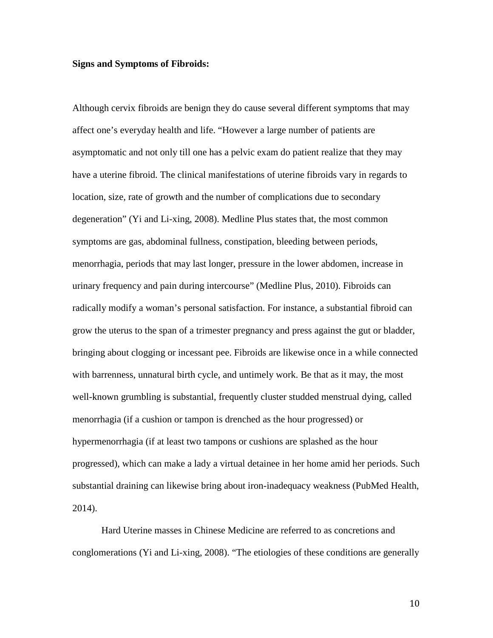#### **Signs and Symptoms of Fibroids:**

Although cervix fibroids are benign they do cause several different symptoms that may affect one's everyday health and life. "However a large number of patients are asymptomatic and not only till one has a pelvic exam do patient realize that they may have a uterine fibroid. The clinical manifestations of uterine fibroids vary in regards to location, size, rate of growth and the number of complications due to secondary degeneration" (Yi and Li-xing, 2008). Medline Plus states that, the most common symptoms are gas, abdominal fullness, constipation, bleeding between periods, menorrhagia, periods that may last longer, pressure in the lower abdomen, increase in urinary frequency and pain during intercourse" (Medline Plus, 2010). Fibroids can radically modify a woman's personal satisfaction. For instance, a substantial fibroid can grow the uterus to the span of a trimester pregnancy and press against the gut or bladder, bringing about clogging or incessant pee. Fibroids are likewise once in a while connected with barrenness, unnatural birth cycle, and untimely work. Be that as it may, the most well-known grumbling is substantial, frequently cluster studded menstrual dying, called menorrhagia (if a cushion or tampon is drenched as the hour progressed) or hypermenorrhagia (if at least two tampons or cushions are splashed as the hour progressed), which can make a lady a virtual detainee in her home amid her periods. Such substantial draining can likewise bring about iron-inadequacy weakness (PubMed Health, 2014).

Hard Uterine masses in Chinese Medicine are referred to as concretions and conglomerations (Yi and Li-xing, 2008). "The etiologies of these conditions are generally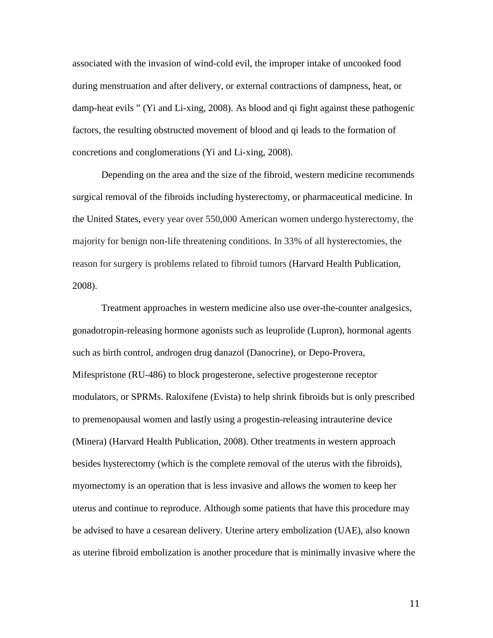associated with the invasion of wind-cold evil, the improper intake of uncooked food during menstruation and after delivery, or external contractions of dampness, heat, or damp-heat evils " (Yi and Li-xing, 2008). As blood and qi fight against these pathogenic factors, the resulting obstructed movement of blood and qi leads to the formation of concretions and conglomerations (Yi and Li-xing, 2008).

Depending on the area and the size of the fibroid, western medicine recommends surgical removal of the fibroids including hysterectomy, or pharmaceutical medicine. In the United States, every year over 550,000 American women undergo hysterectomy, the majority for benign non-life threatening conditions. In 33% of all hysterectomies, the reason for surgery is problems related to fibroid tumors (Harvard Health Publication, 2008).

Treatment approaches in western medicine also use over-the-counter analgesics, gonadotropin-releasing hormone agonists such as leuprolide (Lupron), hormonal agents such as birth control, androgen drug danazol (Danocrine), or Depo-Provera, Mifespristone (RU-486) to block progesterone, selective progesterone receptor modulators, or SPRMs. Raloxifene (Evista) to help shrink fibroids but is only prescribed to premenopausal women and lastly using a progestin-releasing intrauterine device (Minera) (Harvard Health Publication, 2008). Other treatments in western approach besides hysterectomy (which is the complete removal of the uterus with the fibroids), myomectomy is an operation that is less invasive and allows the women to keep her uterus and continue to reproduce. Although some patients that have this procedure may be advised to have a cesarean delivery. Uterine artery embolization (UAE), also known as uterine fibroid embolization is another procedure that is minimally invasive where the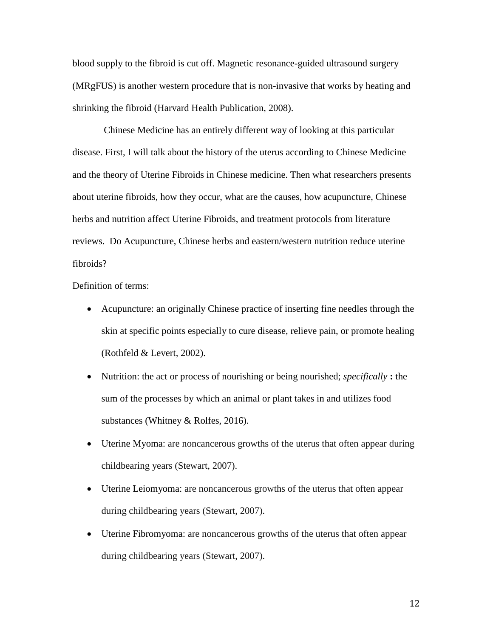blood supply to the fibroid is cut off. Magnetic resonance-guided ultrasound surgery (MRgFUS) is another western procedure that is non-invasive that works by heating and shrinking the fibroid (Harvard Health Publication, 2008).

Chinese Medicine has an entirely different way of looking at this particular disease. First, I will talk about the history of the uterus according to Chinese Medicine and the theory of Uterine Fibroids in Chinese medicine. Then what researchers presents about uterine fibroids, how they occur, what are the causes, how acupuncture, Chinese herbs and nutrition affect Uterine Fibroids, and treatment protocols from literature reviews. Do Acupuncture, Chinese herbs and eastern/western nutrition reduce uterine fibroids?

Definition of terms:

- Acupuncture: an originally Chinese practice of inserting fine needles through the skin at specific points especially to cure disease, relieve pain, or promote healing (Rothfeld & Levert, 2002).
- Nutrition: the act or process of nourishing or being nourished; *specifically* **:** the sum of the processes by which an animal or plant takes in and utilizes food substances (Whitney & Rolfes, 2016).
- Uterine Myoma: are noncancerous growths of the uterus that often appear during childbearing years (Stewart, 2007).
- Uterine Leiomyoma: are noncancerous growths of the uterus that often appear during childbearing years (Stewart, 2007).
- Uterine Fibromyoma: are noncancerous growths of the uterus that often appear during childbearing years (Stewart, 2007).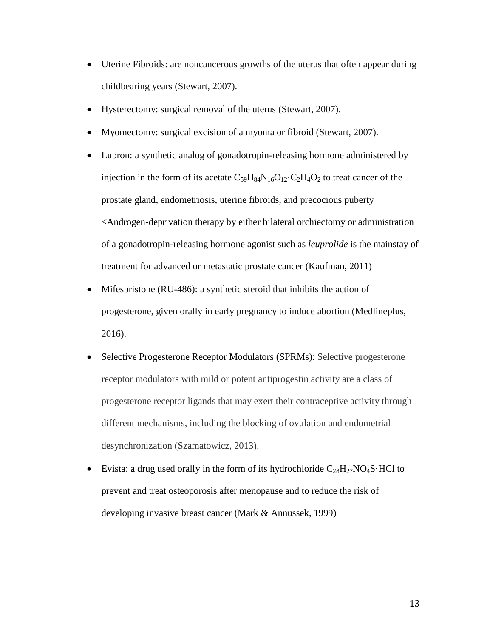- Uterine Fibroids: are noncancerous growths of the uterus that often appear during childbearing years (Stewart, 2007).
- Hysterectomy: surgical removal of the uterus (Stewart, 2007).
- Myomectomy: surgical excision of a myoma or fibroid (Stewart, 2007).
- Lupron: a synthetic analog of gonadotropin-releasing hormone administered by injection in the form of its acetate  $C_{59}H_{84}N_{16}O_{12} \cdot C_2H_4O_2$  to treat cancer of the prostate gland, endometriosis, uterine fibroids, and precocious puberty <Androgen-deprivation therapy by either bilateral orchiectomy or administration of a gonadotropin-releasing hormone agonist such as *leuprolide* is the mainstay of treatment for advanced or metastatic prostate cancer (Kaufman, 2011)
- Mifespristone (RU-486): a synthetic steroid that inhibits the action of progesterone, given orally in early pregnancy to induce abortion (Medlineplus, 2016).
- Selective Progesterone Receptor Modulators (SPRMs): Selective progesterone receptor modulators with mild or potent antiprogestin activity are a class of progesterone receptor ligands that may exert their contraceptive activity through different mechanisms, including the blocking of ovulation and endometrial desynchronization (Szamatowicz, 2013).
- Evista: a drug used orally in the form of its hydrochloride  $C_{28}H_{27}NO_4S \cdot HCl$  to prevent and treat osteoporosis after menopause and to reduce the risk of developing invasive breast cancer (Mark & Annussek, 1999)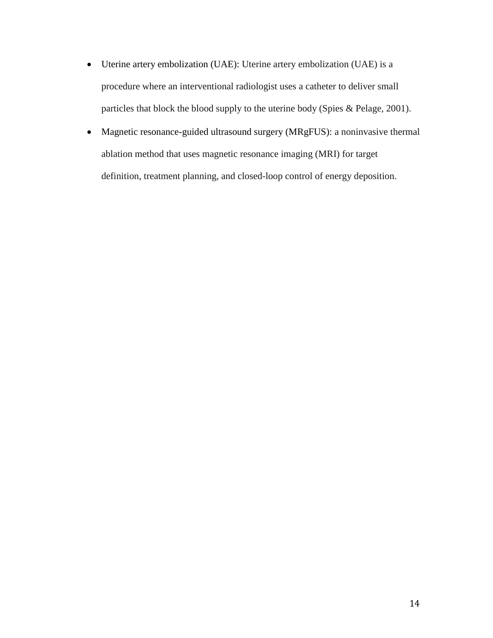- Uterine artery embolization (UAE): Uterine artery embolization (UAE) is a procedure where an interventional radiologist uses a catheter to deliver small particles that block the blood supply to the uterine body (Spies & Pelage, 2001).
- Magnetic resonance-guided ultrasound surgery (MRgFUS): a noninvasive thermal ablation method that uses magnetic resonance imaging (MRI) for target definition, treatment planning, and closed-loop control of energy deposition.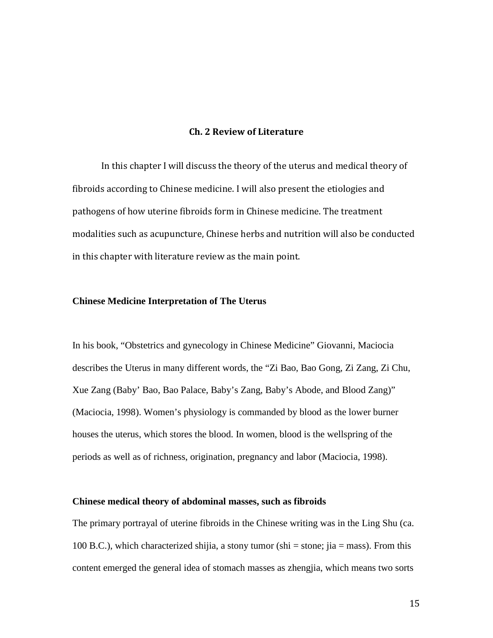## **Ch. 2 Review of Literature**

In this chapter I will discuss the theory of the uterus and medical theory of fibroids according to Chinese medicine. I will also present the etiologies and pathogens of how uterine fibroids form in Chinese medicine. The treatment modalities such as acupuncture, Chinese herbs and nutrition will also be conducted in this chapter with literature review as the main point.

#### **Chinese Medicine Interpretation of The Uterus**

In his book, "Obstetrics and gynecology in Chinese Medicine" Giovanni, Maciocia describes the Uterus in many different words, the "Zi Bao, Bao Gong, Zi Zang, Zi Chu, Xue Zang (Baby' Bao, Bao Palace, Baby's Zang, Baby's Abode, and Blood Zang)" (Maciocia, 1998). Women's physiology is commanded by blood as the lower burner houses the uterus, which stores the blood. In women, blood is the wellspring of the periods as well as of richness, origination, pregnancy and labor (Maciocia, 1998).

#### **Chinese medical theory of abdominal masses, such as fibroids**

The primary portrayal of uterine fibroids in the Chinese writing was in the Ling Shu (ca. 100 B.C.), which characterized shijia, a stony tumor (shi = stone; jia = mass). From this content emerged the general idea of stomach masses as zhengjia, which means two sorts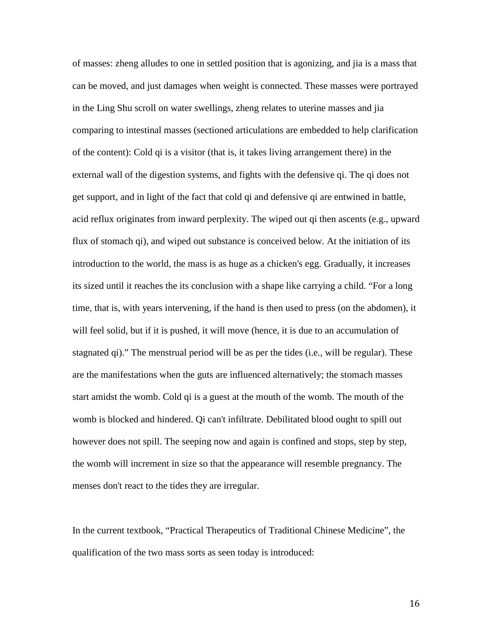of masses: zheng alludes to one in settled position that is agonizing, and jia is a mass that can be moved, and just damages when weight is connected. These masses were portrayed in the Ling Shu scroll on water swellings, zheng relates to uterine masses and jia comparing to intestinal masses (sectioned articulations are embedded to help clarification of the content): Cold qi is a visitor (that is, it takes living arrangement there) in the external wall of the digestion systems, and fights with the defensive qi. The qi does not get support, and in light of the fact that cold qi and defensive qi are entwined in battle, acid reflux originates from inward perplexity. The wiped out qi then ascents (e.g., upward flux of stomach qi), and wiped out substance is conceived below. At the initiation of its introduction to the world, the mass is as huge as a chicken's egg. Gradually, it increases its sized until it reaches the its conclusion with a shape like carrying a child. "For a long time, that is, with years intervening, if the hand is then used to press (on the abdomen), it will feel solid, but if it is pushed, it will move (hence, it is due to an accumulation of stagnated qi)." The menstrual period will be as per the tides (i.e., will be regular). These are the manifestations when the guts are influenced alternatively; the stomach masses start amidst the womb. Cold qi is a guest at the mouth of the womb. The mouth of the womb is blocked and hindered. Qi can't infiltrate. Debilitated blood ought to spill out however does not spill. The seeping now and again is confined and stops, step by step, the womb will increment in size so that the appearance will resemble pregnancy. The menses don't react to the tides they are irregular.

In the current textbook, "Practical Therapeutics of Traditional Chinese Medicine", the qualification of the two mass sorts as seen today is introduced: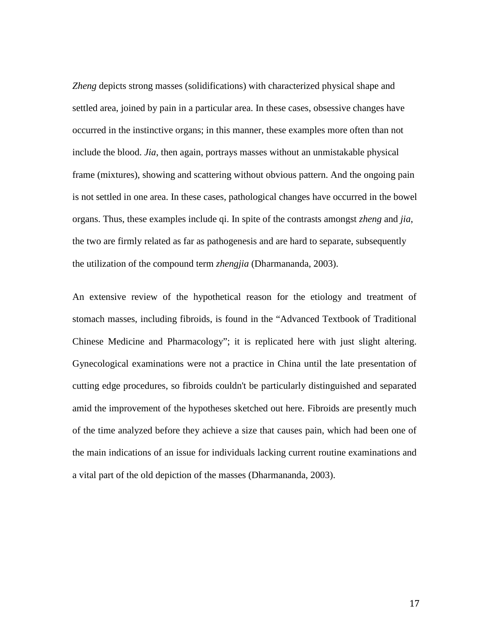*Zheng* depicts strong masses (solidifications) with characterized physical shape and settled area, joined by pain in a particular area. In these cases, obsessive changes have occurred in the instinctive organs; in this manner, these examples more often than not include the blood. *Jia*, then again, portrays masses without an unmistakable physical frame (mixtures), showing and scattering without obvious pattern. And the ongoing pain is not settled in one area. In these cases, pathological changes have occurred in the bowel organs. Thus, these examples include qi. In spite of the contrasts amongst *zheng* and *jia*, the two are firmly related as far as pathogenesis and are hard to separate, subsequently the utilization of the compound term *zhengjia* (Dharmananda, 2003).

An extensive review of the hypothetical reason for the etiology and treatment of stomach masses, including fibroids, is found in the "Advanced Textbook of Traditional Chinese Medicine and Pharmacology"; it is replicated here with just slight altering. Gynecological examinations were not a practice in China until the late presentation of cutting edge procedures, so fibroids couldn't be particularly distinguished and separated amid the improvement of the hypotheses sketched out here. Fibroids are presently much of the time analyzed before they achieve a size that causes pain, which had been one of the main indications of an issue for individuals lacking current routine examinations and a vital part of the old depiction of the masses (Dharmananda, 2003).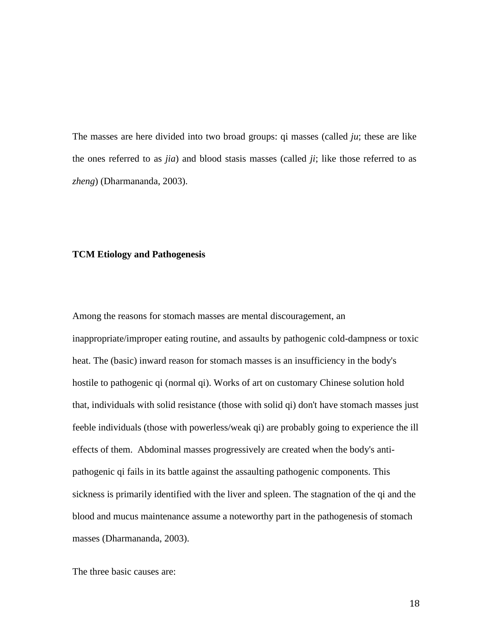The masses are here divided into two broad groups: qi masses (called *ju*; these are like the ones referred to as *jia*) and blood stasis masses (called *ji*; like those referred to as *zheng*) (Dharmananda, 2003).

### **TCM Etiology and Pathogenesis**

Among the reasons for stomach masses are mental discouragement, an inappropriate/improper eating routine, and assaults by pathogenic cold-dampness or toxic heat. The (basic) inward reason for stomach masses is an insufficiency in the body's hostile to pathogenic qi (normal qi). Works of art on customary Chinese solution hold that, individuals with solid resistance (those with solid qi) don't have stomach masses just feeble individuals (those with powerless/weak qi) are probably going to experience the ill effects of them. Abdominal masses progressively are created when the body's antipathogenic qi fails in its battle against the assaulting pathogenic components. This sickness is primarily identified with the liver and spleen. The stagnation of the qi and the blood and mucus maintenance assume a noteworthy part in the pathogenesis of stomach masses (Dharmananda, 2003).

The three basic causes are: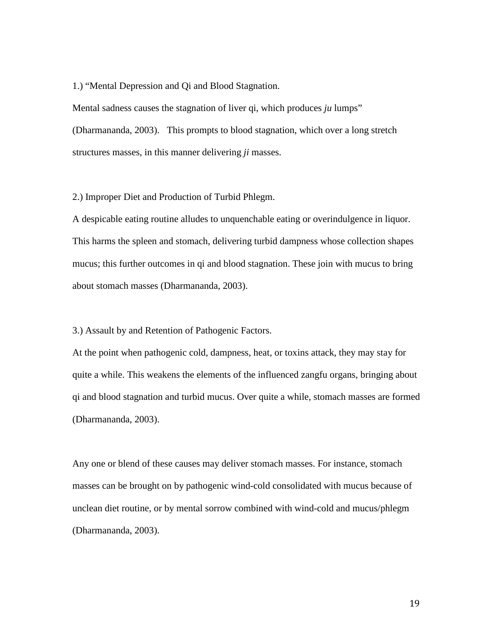1.) "Mental Depression and Qi and Blood Stagnation.

Mental sadness causes the stagnation of liver qi, which produces *ju* lumps" (Dharmananda, 2003). This prompts to blood stagnation, which over a long stretch structures masses, in this manner delivering *ji* masses.

2.) Improper Diet and Production of Turbid Phlegm.

A despicable eating routine alludes to unquenchable eating or overindulgence in liquor. This harms the spleen and stomach, delivering turbid dampness whose collection shapes mucus; this further outcomes in qi and blood stagnation. These join with mucus to bring about stomach masses (Dharmananda, 2003).

3.) Assault by and Retention of Pathogenic Factors.

At the point when pathogenic cold, dampness, heat, or toxins attack, they may stay for quite a while. This weakens the elements of the influenced zangfu organs, bringing about qi and blood stagnation and turbid mucus. Over quite a while, stomach masses are formed (Dharmananda, 2003).

Any one or blend of these causes may deliver stomach masses. For instance, stomach masses can be brought on by pathogenic wind-cold consolidated with mucus because of unclean diet routine, or by mental sorrow combined with wind-cold and mucus/phlegm (Dharmananda, 2003).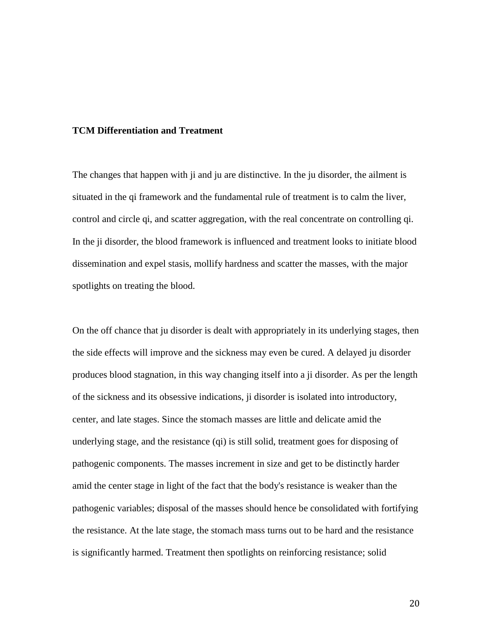#### **TCM Differentiation and Treatment**

The changes that happen with ji and ju are distinctive. In the ju disorder, the ailment is situated in the qi framework and the fundamental rule of treatment is to calm the liver, control and circle qi, and scatter aggregation, with the real concentrate on controlling qi. In the ji disorder, the blood framework is influenced and treatment looks to initiate blood dissemination and expel stasis, mollify hardness and scatter the masses, with the major spotlights on treating the blood.

On the off chance that ju disorder is dealt with appropriately in its underlying stages, then the side effects will improve and the sickness may even be cured. A delayed ju disorder produces blood stagnation, in this way changing itself into a ji disorder. As per the length of the sickness and its obsessive indications, ji disorder is isolated into introductory, center, and late stages. Since the stomach masses are little and delicate amid the underlying stage, and the resistance (qi) is still solid, treatment goes for disposing of pathogenic components. The masses increment in size and get to be distinctly harder amid the center stage in light of the fact that the body's resistance is weaker than the pathogenic variables; disposal of the masses should hence be consolidated with fortifying the resistance. At the late stage, the stomach mass turns out to be hard and the resistance is significantly harmed. Treatment then spotlights on reinforcing resistance; solid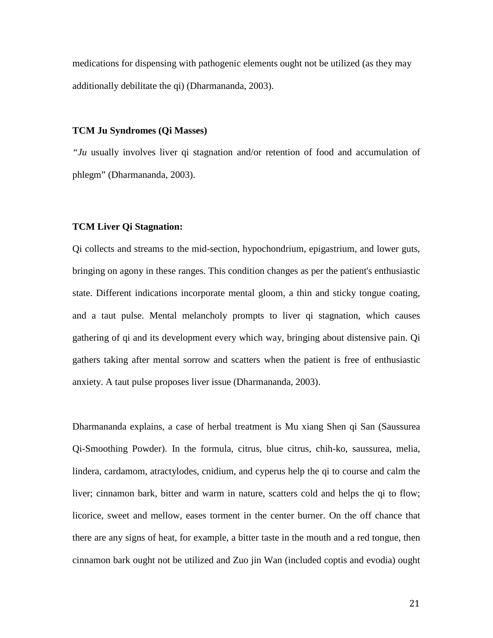medications for dispensing with pathogenic elements ought not be utilized (as they may additionally debilitate the qi) (Dharmananda, 2003).

#### **TCM Ju Syndromes (Qi Masses)**

*"Ju* usually involves liver qi stagnation and/or retention of food and accumulation of phlegm" (Dharmananda, 2003).

## **TCM Liver Qi Stagnation:**

Qi collects and streams to the mid-section, hypochondrium, epigastrium, and lower guts, bringing on agony in these ranges. This condition changes as per the patient's enthusiastic state. Different indications incorporate mental gloom, a thin and sticky tongue coating, and a taut pulse. Mental melancholy prompts to liver qi stagnation, which causes gathering of qi and its development every which way, bringing about distensive pain. Qi gathers taking after mental sorrow and scatters when the patient is free of enthusiastic anxiety. A taut pulse proposes liver issue (Dharmananda, 2003).

Dharmananda explains, a case of herbal treatment is Mu xiang Shen qi San (Saussurea Qi-Smoothing Powder). In the formula, citrus, blue citrus, chih-ko, saussurea, melia, lindera, cardamom, atractylodes, cnidium, and cyperus help the qi to course and calm the liver; cinnamon bark, bitter and warm in nature, scatters cold and helps the qi to flow; licorice, sweet and mellow, eases torment in the center burner. On the off chance that there are any signs of heat, for example, a bitter taste in the mouth and a red tongue, then cinnamon bark ought not be utilized and Zuo jin Wan (included coptis and evodia) ought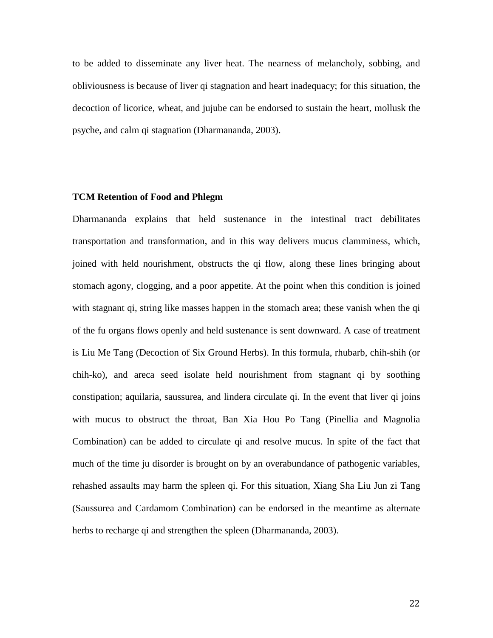to be added to disseminate any liver heat. The nearness of melancholy, sobbing, and obliviousness is because of liver qi stagnation and heart inadequacy; for this situation, the decoction of licorice, wheat, and jujube can be endorsed to sustain the heart, mollusk the psyche, and calm qi stagnation (Dharmananda, 2003).

## **TCM Retention of Food and Phlegm**

Dharmananda explains that held sustenance in the intestinal tract debilitates transportation and transformation, and in this way delivers mucus clamminess, which, joined with held nourishment, obstructs the qi flow, along these lines bringing about stomach agony, clogging, and a poor appetite. At the point when this condition is joined with stagnant qi, string like masses happen in the stomach area; these vanish when the qi of the fu organs flows openly and held sustenance is sent downward. A case of treatment is Liu Me Tang (Decoction of Six Ground Herbs). In this formula, rhubarb, chih-shih (or chih-ko), and areca seed isolate held nourishment from stagnant qi by soothing constipation; aquilaria, saussurea, and lindera circulate qi. In the event that liver qi joins with mucus to obstruct the throat, Ban Xia Hou Po Tang (Pinellia and Magnolia Combination) can be added to circulate qi and resolve mucus. In spite of the fact that much of the time ju disorder is brought on by an overabundance of pathogenic variables, rehashed assaults may harm the spleen qi. For this situation, Xiang Sha Liu Jun zi Tang (Saussurea and Cardamom Combination) can be endorsed in the meantime as alternate herbs to recharge qi and strengthen the spleen (Dharmananda, 2003).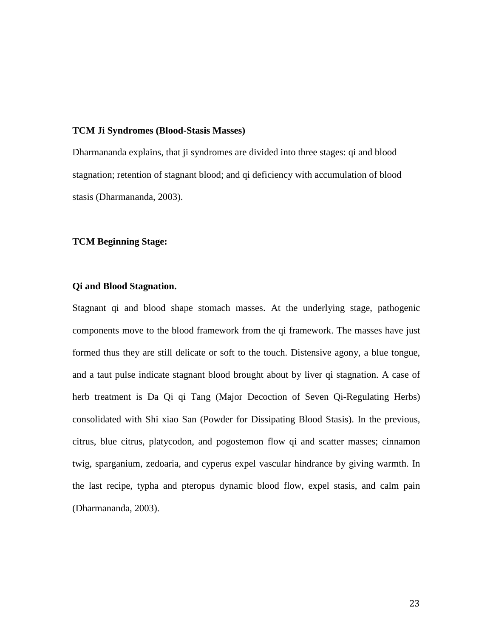### **TCM Ji Syndromes (Blood-Stasis Masses)**

Dharmananda explains, that ji syndromes are divided into three stages: qi and blood stagnation; retention of stagnant blood; and qi deficiency with accumulation of blood stasis (Dharmananda, 2003).

### **TCM Beginning Stage:**

#### **Qi and Blood Stagnation.**

Stagnant qi and blood shape stomach masses. At the underlying stage, pathogenic components move to the blood framework from the qi framework. The masses have just formed thus they are still delicate or soft to the touch. Distensive agony, a blue tongue, and a taut pulse indicate stagnant blood brought about by liver qi stagnation. A case of herb treatment is Da Qi qi Tang (Major Decoction of Seven Qi-Regulating Herbs) consolidated with Shi xiao San (Powder for Dissipating Blood Stasis). In the previous, citrus, blue citrus, platycodon, and pogostemon flow qi and scatter masses; cinnamon twig, sparganium, zedoaria, and cyperus expel vascular hindrance by giving warmth. In the last recipe, typha and pteropus dynamic blood flow, expel stasis, and calm pain (Dharmananda, 2003).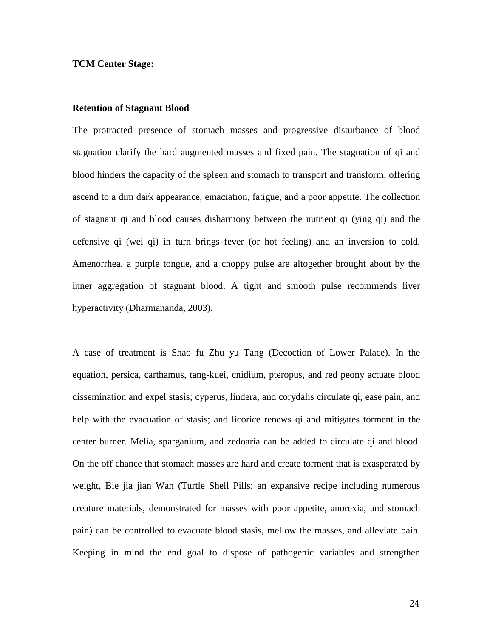#### **TCM Center Stage:**

#### **Retention of Stagnant Blood**

The protracted presence of stomach masses and progressive disturbance of blood stagnation clarify the hard augmented masses and fixed pain. The stagnation of qi and blood hinders the capacity of the spleen and stomach to transport and transform, offering ascend to a dim dark appearance, emaciation, fatigue, and a poor appetite. The collection of stagnant qi and blood causes disharmony between the nutrient qi (ying qi) and the defensive qi (wei qi) in turn brings fever (or hot feeling) and an inversion to cold. Amenorrhea, a purple tongue, and a choppy pulse are altogether brought about by the inner aggregation of stagnant blood. A tight and smooth pulse recommends liver hyperactivity (Dharmananda, 2003).

A case of treatment is Shao fu Zhu yu Tang (Decoction of Lower Palace). In the equation, persica, carthamus, tang-kuei, cnidium, pteropus, and red peony actuate blood dissemination and expel stasis; cyperus, lindera, and corydalis circulate qi, ease pain, and help with the evacuation of stasis; and licorice renews qi and mitigates torment in the center burner. Melia, sparganium, and zedoaria can be added to circulate qi and blood. On the off chance that stomach masses are hard and create torment that is exasperated by weight, Bie jia jian Wan (Turtle Shell Pills; an expansive recipe including numerous creature materials, demonstrated for masses with poor appetite, anorexia, and stomach pain) can be controlled to evacuate blood stasis, mellow the masses, and alleviate pain. Keeping in mind the end goal to dispose of pathogenic variables and strengthen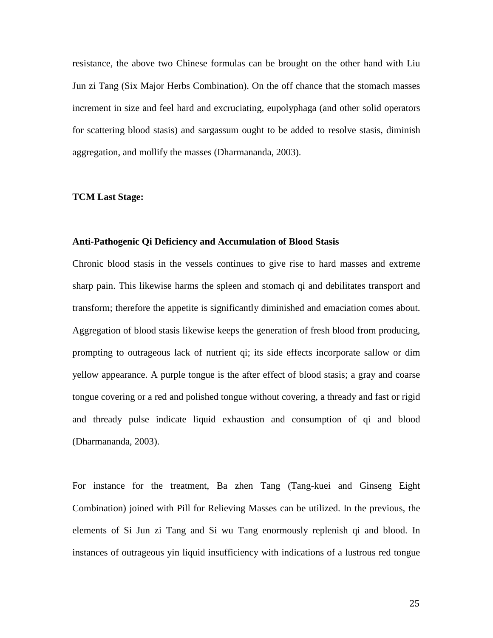resistance, the above two Chinese formulas can be brought on the other hand with Liu Jun zi Tang (Six Major Herbs Combination). On the off chance that the stomach masses increment in size and feel hard and excruciating, eupolyphaga (and other solid operators for scattering blood stasis) and sargassum ought to be added to resolve stasis, diminish aggregation, and mollify the masses (Dharmananda, 2003).

#### **TCM Last Stage:**

#### **Anti-Pathogenic Qi Deficiency and Accumulation of Blood Stasis**

Chronic blood stasis in the vessels continues to give rise to hard masses and extreme sharp pain. This likewise harms the spleen and stomach qi and debilitates transport and transform; therefore the appetite is significantly diminished and emaciation comes about. Aggregation of blood stasis likewise keeps the generation of fresh blood from producing, prompting to outrageous lack of nutrient qi; its side effects incorporate sallow or dim yellow appearance. A purple tongue is the after effect of blood stasis; a gray and coarse tongue covering or a red and polished tongue without covering, a thready and fast or rigid and thready pulse indicate liquid exhaustion and consumption of qi and blood (Dharmananda, 2003).

For instance for the treatment, Ba zhen Tang (Tang-kuei and Ginseng Eight Combination) joined with Pill for Relieving Masses can be utilized. In the previous, the elements of Si Jun zi Tang and Si wu Tang enormously replenish qi and blood. In instances of outrageous yin liquid insufficiency with indications of a lustrous red tongue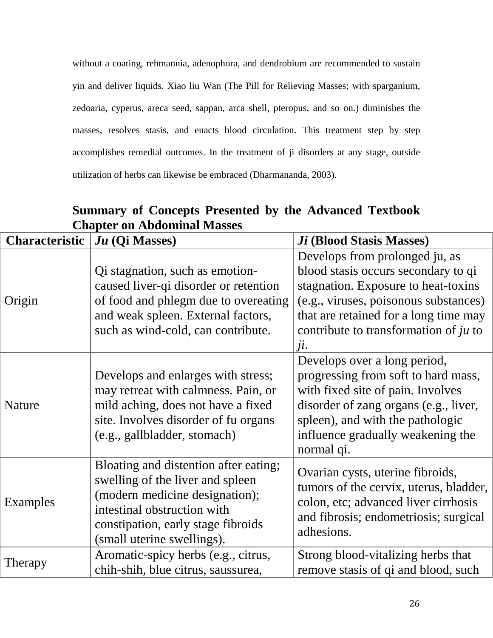without a coating, rehmannia, adenophora, and dendrobium are recommended to sustain yin and deliver liquids. Xiao liu Wan (The Pill for Relieving Masses; with sparganium, zedoaria, cyperus, areca seed, sappan, arca shell, pteropus, and so on.) diminishes the masses, resolves stasis, and enacts blood circulation. This treatment step by step accomplishes remedial outcomes. In the treatment of ji disorders at any stage, outside utilization of herbs can likewise be embraced (Dharmananda, 2003).

**Summary of Concepts Presented by the Advanced Textbook Chapter on Abdominal Masses**

| <b>Characteristic</b> | $Ju$ (Qi Masses)                                                                                                                                                                                               | <i>Ji</i> (Blood Stasis Masses)                                                                                                                                                                                                                |
|-----------------------|----------------------------------------------------------------------------------------------------------------------------------------------------------------------------------------------------------------|------------------------------------------------------------------------------------------------------------------------------------------------------------------------------------------------------------------------------------------------|
| Origin                | Qi stagnation, such as emotion-<br>caused liver-qi disorder or retention<br>of food and phlegm due to overeating<br>and weak spleen. External factors,<br>such as wind-cold, can contribute.                   | Develops from prolonged ju, as<br>blood stasis occurs secondary to qi<br>stagnation. Exposure to heat-toxins<br>(e.g., viruses, poisonous substances)<br>that are retained for a long time may<br>contribute to transformation of ju to<br>ji. |
| <b>Nature</b>         | Develops and enlarges with stress;<br>may retreat with calmness. Pain, or<br>mild aching, does not have a fixed<br>site. Involves disorder of fu organs<br>(e.g., gallbladder, stomach)                        | Develops over a long period,<br>progressing from soft to hard mass,<br>with fixed site of pain. Involves<br>disorder of zang organs (e.g., liver,<br>spleen), and with the pathologic<br>influence gradually weakening the<br>normal qi.       |
| Examples              | Bloating and distention after eating;<br>swelling of the liver and spleen<br>(modern medicine designation);<br>intestinal obstruction with<br>constipation, early stage fibroids<br>(small uterine swellings). | Ovarian cysts, uterine fibroids,<br>tumors of the cervix, uterus, bladder,<br>colon, etc; advanced liver cirrhosis<br>and fibrosis; endometriosis; surgical<br>adhesions.                                                                      |
| Therapy               | Aromatic-spicy herbs (e.g., citrus,<br>chih-shih, blue citrus, saussurea,                                                                                                                                      | Strong blood-vitalizing herbs that<br>remove stasis of qi and blood, such                                                                                                                                                                      |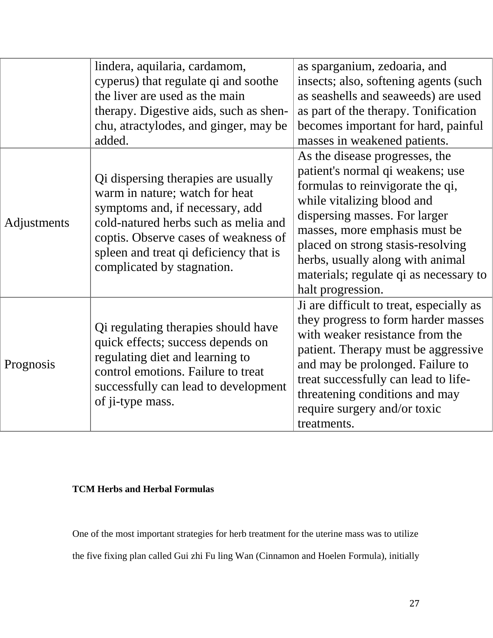|             | lindera, aquilaria, cardamom,<br>cyperus) that regulate qi and soothe<br>the liver are used as the main<br>therapy. Digestive aids, such as shen-<br>chu, atractylodes, and ginger, may be<br>added.                                                             | as sparganium, zedoaria, and<br>insects; also, softening agents (such<br>as seashells and seaweeds) are used<br>as part of the therapy. Tonification<br>becomes important for hard, painful<br>masses in weakened patients.                                                                                                                    |
|-------------|------------------------------------------------------------------------------------------------------------------------------------------------------------------------------------------------------------------------------------------------------------------|------------------------------------------------------------------------------------------------------------------------------------------------------------------------------------------------------------------------------------------------------------------------------------------------------------------------------------------------|
| Adjustments | Qi dispersing therapies are usually<br>warm in nature; watch for heat<br>symptoms and, if necessary, add<br>cold-natured herbs such as melia and<br>coptis. Observe cases of weakness of<br>spleen and treat qi deficiency that is<br>complicated by stagnation. | As the disease progresses, the<br>patient's normal qi weakens; use<br>formulas to reinvigorate the qi,<br>while vitalizing blood and<br>dispersing masses. For larger<br>masses, more emphasis must be<br>placed on strong stasis-resolving<br>herbs, usually along with animal<br>materials; regulate qi as necessary to<br>halt progression. |
| Prognosis   | Qi regulating therapies should have<br>quick effects; success depends on<br>regulating diet and learning to<br>control emotions. Failure to treat<br>successfully can lead to development<br>of ji-type mass.                                                    | Ji are difficult to treat, especially as<br>they progress to form harder masses<br>with weaker resistance from the<br>patient. Therapy must be aggressive<br>and may be prolonged. Failure to<br>treat successfully can lead to life-<br>threatening conditions and may<br>require surgery and/or toxic<br>treatments.                         |

# **TCM Herbs and Herbal Formulas**

One of the most important strategies for herb treatment for the uterine mass was to utilize the five fixing plan called Gui zhi Fu ling Wan (Cinnamon and Hoelen Formula), initially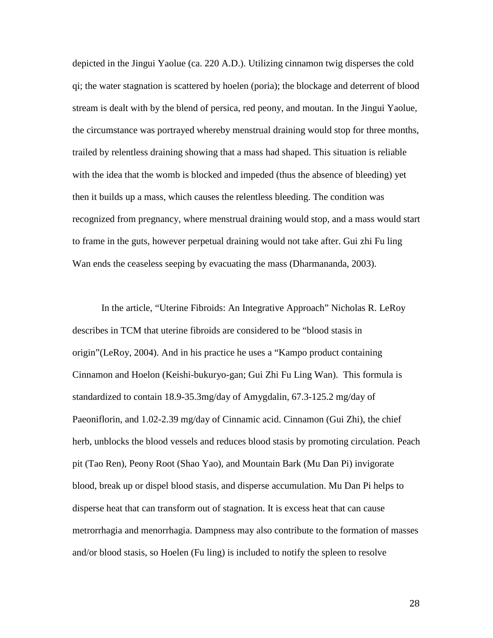depicted in the Jingui Yaolue (ca. 220 A.D.). Utilizing cinnamon twig disperses the cold qi; the water stagnation is scattered by hoelen (poria); the blockage and deterrent of blood stream is dealt with by the blend of persica, red peony, and moutan. In the Jingui Yaolue, the circumstance was portrayed whereby menstrual draining would stop for three months, trailed by relentless draining showing that a mass had shaped. This situation is reliable with the idea that the womb is blocked and impeded (thus the absence of bleeding) yet then it builds up a mass, which causes the relentless bleeding. The condition was recognized from pregnancy, where menstrual draining would stop, and a mass would start to frame in the guts, however perpetual draining would not take after. Gui zhi Fu ling Wan ends the ceaseless seeping by evacuating the mass (Dharmananda, 2003).

In the article, "Uterine Fibroids: An Integrative Approach" Nicholas R. LeRoy describes in TCM that uterine fibroids are considered to be "blood stasis in origin"(LeRoy, 2004). And in his practice he uses a "Kampo product containing Cinnamon and Hoelon (Keishi-bukuryo-gan; Gui Zhi Fu Ling Wan). This formula is standardized to contain 18.9-35.3mg/day of Amygdalin, 67.3-125.2 mg/day of Paeoniflorin, and 1.02-2.39 mg/day of Cinnamic acid. Cinnamon (Gui Zhi), the chief herb, unblocks the blood vessels and reduces blood stasis by promoting circulation. Peach pit (Tao Ren), Peony Root (Shao Yao), and Mountain Bark (Mu Dan Pi) invigorate blood, break up or dispel blood stasis, and disperse accumulation. Mu Dan Pi helps to disperse heat that can transform out of stagnation. It is excess heat that can cause metrorrhagia and menorrhagia. Dampness may also contribute to the formation of masses and/or blood stasis, so Hoelen (Fu ling) is included to notify the spleen to resolve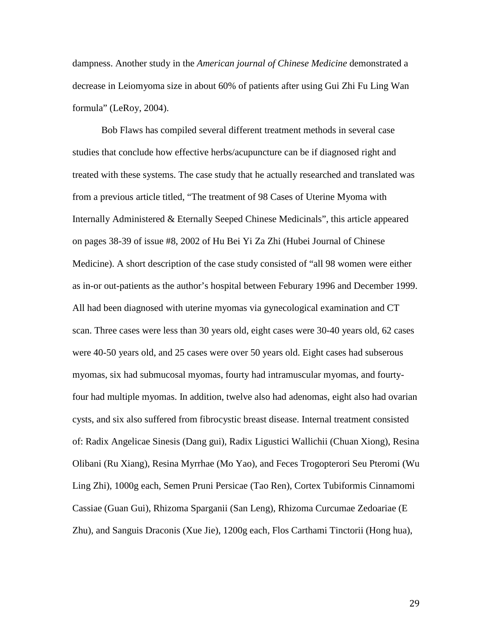dampness. Another study in the *American journal of Chinese Medicine* demonstrated a decrease in Leiomyoma size in about 60% of patients after using Gui Zhi Fu Ling Wan formula" (LeRoy, 2004).

Bob Flaws has compiled several different treatment methods in several case studies that conclude how effective herbs/acupuncture can be if diagnosed right and treated with these systems. The case study that he actually researched and translated was from a previous article titled, "The treatment of 98 Cases of Uterine Myoma with Internally Administered & Eternally Seeped Chinese Medicinals", this article appeared on pages 38-39 of issue #8, 2002 of Hu Bei Yi Za Zhi (Hubei Journal of Chinese Medicine). A short description of the case study consisted of "all 98 women were either as in-or out-patients as the author's hospital between Feburary 1996 and December 1999. All had been diagnosed with uterine myomas via gynecological examination and CT scan. Three cases were less than 30 years old, eight cases were 30-40 years old, 62 cases were 40-50 years old, and 25 cases were over 50 years old. Eight cases had subserous myomas, six had submucosal myomas, fourty had intramuscular myomas, and fourtyfour had multiple myomas. In addition, twelve also had adenomas, eight also had ovarian cysts, and six also suffered from fibrocystic breast disease. Internal treatment consisted of: Radix Angelicae Sinesis (Dang gui), Radix Ligustici Wallichii (Chuan Xiong), Resina Olibani (Ru Xiang), Resina Myrrhae (Mo Yao), and Feces Trogopterori Seu Pteromi (Wu Ling Zhi), 1000g each, Semen Pruni Persicae (Tao Ren), Cortex Tubiformis Cinnamomi Cassiae (Guan Gui), Rhizoma Sparganii (San Leng), Rhizoma Curcumae Zedoariae (E Zhu), and Sanguis Draconis (Xue Jie), 1200g each, Flos Carthami Tinctorii (Hong hua),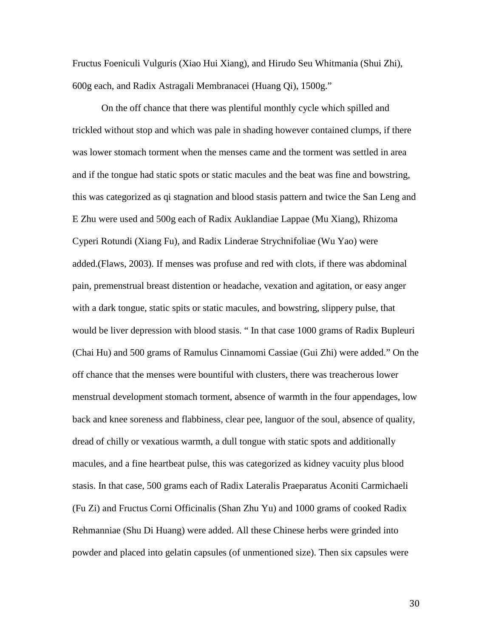Fructus Foeniculi Vulguris (Xiao Hui Xiang), and Hirudo Seu Whitmania (Shui Zhi), 600g each, and Radix Astragali Membranacei (Huang Qi), 1500g."

On the off chance that there was plentiful monthly cycle which spilled and trickled without stop and which was pale in shading however contained clumps, if there was lower stomach torment when the menses came and the torment was settled in area and if the tongue had static spots or static macules and the beat was fine and bowstring, this was categorized as qi stagnation and blood stasis pattern and twice the San Leng and E Zhu were used and 500g each of Radix Auklandiae Lappae (Mu Xiang), Rhizoma Cyperi Rotundi (Xiang Fu), and Radix Linderae Strychnifoliae (Wu Yao) were added.(Flaws, 2003). If menses was profuse and red with clots, if there was abdominal pain, premenstrual breast distention or headache, vexation and agitation, or easy anger with a dark tongue, static spits or static macules, and bowstring, slippery pulse, that would be liver depression with blood stasis. " In that case 1000 grams of Radix Bupleuri (Chai Hu) and 500 grams of Ramulus Cinnamomi Cassiae (Gui Zhi) were added." On the off chance that the menses were bountiful with clusters, there was treacherous lower menstrual development stomach torment, absence of warmth in the four appendages, low back and knee soreness and flabbiness, clear pee, languor of the soul, absence of quality, dread of chilly or vexatious warmth, a dull tongue with static spots and additionally macules, and a fine heartbeat pulse, this was categorized as kidney vacuity plus blood stasis. In that case, 500 grams each of Radix Lateralis Praeparatus Aconiti Carmichaeli (Fu Zi) and Fructus Corni Officinalis (Shan Zhu Yu) and 1000 grams of cooked Radix Rehmanniae (Shu Di Huang) were added. All these Chinese herbs were grinded into powder and placed into gelatin capsules (of unmentioned size). Then six capsules were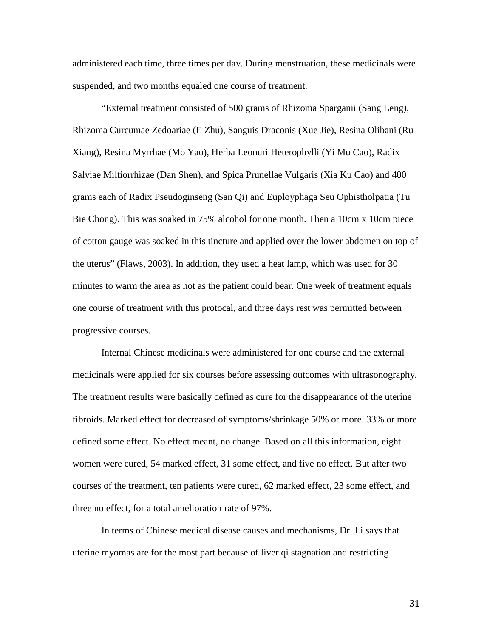administered each time, three times per day. During menstruation, these medicinals were suspended, and two months equaled one course of treatment.

"External treatment consisted of 500 grams of Rhizoma Sparganii (Sang Leng), Rhizoma Curcumae Zedoariae (E Zhu), Sanguis Draconis (Xue Jie), Resina Olibani (Ru Xiang), Resina Myrrhae (Mo Yao), Herba Leonuri Heterophylli (Yi Mu Cao), Radix Salviae Miltiorrhizae (Dan Shen), and Spica Prunellae Vulgaris (Xia Ku Cao) and 400 grams each of Radix Pseudoginseng (San Qi) and Euployphaga Seu Ophistholpatia (Tu Bie Chong). This was soaked in 75% alcohol for one month. Then a 10cm x 10cm piece of cotton gauge was soaked in this tincture and applied over the lower abdomen on top of the uterus" (Flaws, 2003). In addition, they used a heat lamp, which was used for 30 minutes to warm the area as hot as the patient could bear. One week of treatment equals one course of treatment with this protocal, and three days rest was permitted between progressive courses.

Internal Chinese medicinals were administered for one course and the external medicinals were applied for six courses before assessing outcomes with ultrasonography. The treatment results were basically defined as cure for the disappearance of the uterine fibroids. Marked effect for decreased of symptoms/shrinkage 50% or more. 33% or more defined some effect. No effect meant, no change. Based on all this information, eight women were cured, 54 marked effect, 31 some effect, and five no effect. But after two courses of the treatment, ten patients were cured, 62 marked effect, 23 some effect, and three no effect, for a total amelioration rate of 97%.

In terms of Chinese medical disease causes and mechanisms, Dr. Li says that uterine myomas are for the most part because of liver qi stagnation and restricting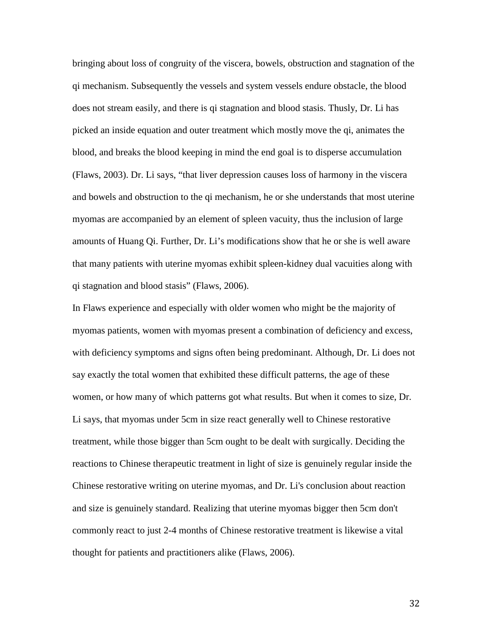bringing about loss of congruity of the viscera, bowels, obstruction and stagnation of the qi mechanism. Subsequently the vessels and system vessels endure obstacle, the blood does not stream easily, and there is qi stagnation and blood stasis. Thusly, Dr. Li has picked an inside equation and outer treatment which mostly move the qi, animates the blood, and breaks the blood keeping in mind the end goal is to disperse accumulation (Flaws, 2003). Dr. Li says, "that liver depression causes loss of harmony in the viscera and bowels and obstruction to the qi mechanism, he or she understands that most uterine myomas are accompanied by an element of spleen vacuity, thus the inclusion of large amounts of Huang Qi. Further, Dr. Li's modifications show that he or she is well aware that many patients with uterine myomas exhibit spleen-kidney dual vacuities along with qi stagnation and blood stasis" (Flaws, 2006).

In Flaws experience and especially with older women who might be the majority of myomas patients, women with myomas present a combination of deficiency and excess, with deficiency symptoms and signs often being predominant. Although, Dr. Li does not say exactly the total women that exhibited these difficult patterns, the age of these women, or how many of which patterns got what results. But when it comes to size, Dr. Li says, that myomas under 5cm in size react generally well to Chinese restorative treatment, while those bigger than 5cm ought to be dealt with surgically. Deciding the reactions to Chinese therapeutic treatment in light of size is genuinely regular inside the Chinese restorative writing on uterine myomas, and Dr. Li's conclusion about reaction and size is genuinely standard. Realizing that uterine myomas bigger then 5cm don't commonly react to just 2-4 months of Chinese restorative treatment is likewise a vital thought for patients and practitioners alike (Flaws, 2006).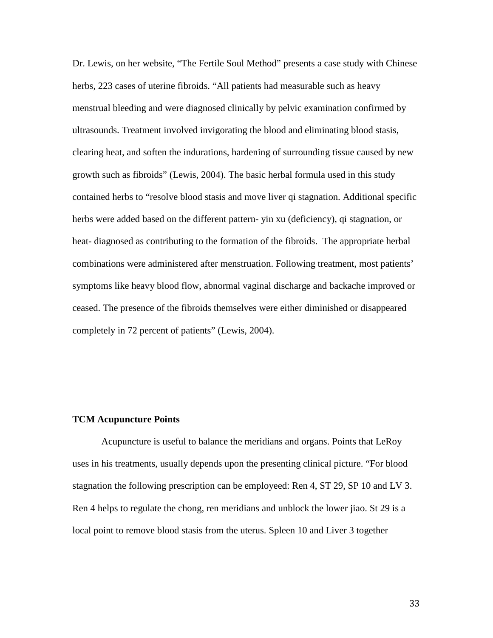Dr. Lewis, on her website, "The Fertile Soul Method" presents a case study with Chinese herbs, 223 cases of uterine fibroids. "All patients had measurable such as heavy menstrual bleeding and were diagnosed clinically by pelvic examination confirmed by ultrasounds. Treatment involved invigorating the blood and eliminating blood stasis, clearing heat, and soften the indurations, hardening of surrounding tissue caused by new growth such as fibroids" (Lewis, 2004). The basic herbal formula used in this study contained herbs to "resolve blood stasis and move liver qi stagnation. Additional specific herbs were added based on the different pattern- yin xu (deficiency), qi stagnation, or heat- diagnosed as contributing to the formation of the fibroids. The appropriate herbal combinations were administered after menstruation. Following treatment, most patients' symptoms like heavy blood flow, abnormal vaginal discharge and backache improved or ceased. The presence of the fibroids themselves were either diminished or disappeared completely in 72 percent of patients" (Lewis, 2004).

#### **TCM Acupuncture Points**

Acupuncture is useful to balance the meridians and organs. Points that LeRoy uses in his treatments, usually depends upon the presenting clinical picture. "For blood stagnation the following prescription can be employeed: Ren 4, ST 29, SP 10 and LV 3. Ren 4 helps to regulate the chong, ren meridians and unblock the lower jiao. St 29 is a local point to remove blood stasis from the uterus. Spleen 10 and Liver 3 together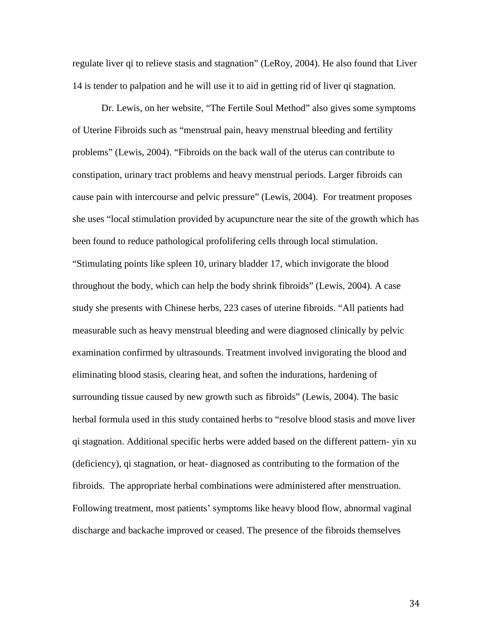regulate liver qi to relieve stasis and stagnation" (LeRoy, 2004). He also found that Liver 14 is tender to palpation and he will use it to aid in getting rid of liver qi stagnation.

Dr. Lewis, on her website, "The Fertile Soul Method" also gives some symptoms of Uterine Fibroids such as "menstrual pain, heavy menstrual bleeding and fertility problems" (Lewis, 2004). "Fibroids on the back wall of the uterus can contribute to constipation, urinary tract problems and heavy menstrual periods. Larger fibroids can cause pain with intercourse and pelvic pressure" (Lewis, 2004). For treatment proposes she uses "local stimulation provided by acupuncture near the site of the growth which has been found to reduce pathological profolifering cells through local stimulation. "Stimulating points like spleen 10, urinary bladder 17, which invigorate the blood throughout the body, which can help the body shrink fibroids" (Lewis, 2004). A case study she presents with Chinese herbs, 223 cases of uterine fibroids. "All patients had measurable such as heavy menstrual bleeding and were diagnosed clinically by pelvic examination confirmed by ultrasounds. Treatment involved invigorating the blood and eliminating blood stasis, clearing heat, and soften the indurations, hardening of surrounding tissue caused by new growth such as fibroids" (Lewis, 2004). The basic herbal formula used in this study contained herbs to "resolve blood stasis and move liver qi stagnation. Additional specific herbs were added based on the different pattern- yin xu (deficiency), qi stagnation, or heat- diagnosed as contributing to the formation of the fibroids. The appropriate herbal combinations were administered after menstruation. Following treatment, most patients' symptoms like heavy blood flow, abnormal vaginal discharge and backache improved or ceased. The presence of the fibroids themselves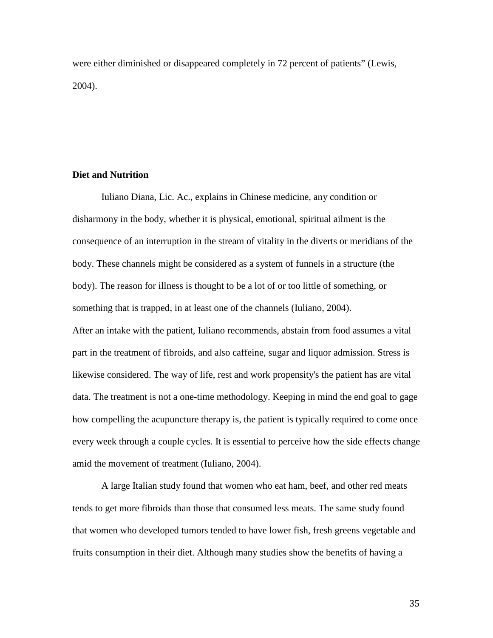were either diminished or disappeared completely in 72 percent of patients" (Lewis, 2004).

# **Diet and Nutrition**

Iuliano Diana, Lic. Ac., explains in Chinese medicine, any condition or disharmony in the body, whether it is physical, emotional, spiritual ailment is the consequence of an interruption in the stream of vitality in the diverts or meridians of the body. These channels might be considered as a system of funnels in a structure (the body). The reason for illness is thought to be a lot of or too little of something, or something that is trapped, in at least one of the channels (Iuliano, 2004). After an intake with the patient, Iuliano recommends, abstain from food assumes a vital part in the treatment of fibroids, and also caffeine, sugar and liquor admission. Stress is likewise considered. The way of life, rest and work propensity's the patient has are vital data. The treatment is not a one-time methodology. Keeping in mind the end goal to gage how compelling the acupuncture therapy is, the patient is typically required to come once every week through a couple cycles. It is essential to perceive how the side effects change amid the movement of treatment (Iuliano, 2004).

A large Italian study found that women who eat ham, beef, and other red meats tends to get more fibroids than those that consumed less meats. The same study found that women who developed tumors tended to have lower fish, fresh greens vegetable and fruits consumption in their diet. Although many studies show the benefits of having a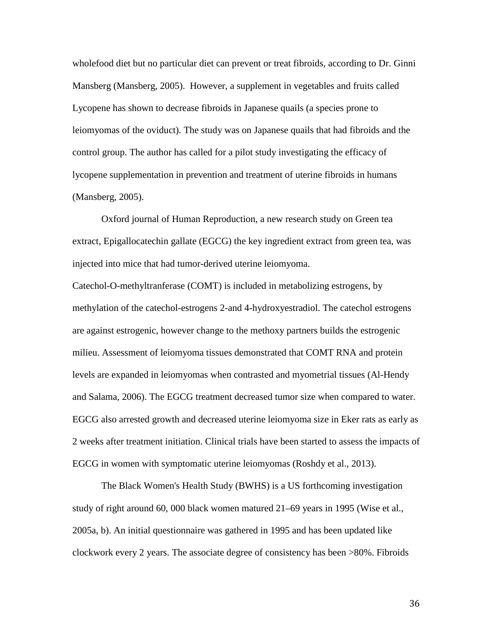wholefood diet but no particular diet can prevent or treat fibroids, according to Dr. Ginni Mansberg (Mansberg, 2005). However, a supplement in vegetables and fruits called Lycopene has shown to decrease fibroids in Japanese quails (a species prone to leiomyomas of the oviduct). The study was on Japanese quails that had fibroids and the control group. The author has called for a pilot study investigating the efficacy of lycopene supplementation in prevention and treatment of uterine fibroids in humans (Mansberg, 2005).

Oxford journal of Human Reproduction, a new research study on Green tea extract, Epigallocatechin gallate (EGCG) the key ingredient extract from green tea, was injected into mice that had tumor-derived uterine leiomyoma.

Catechol-O-methyltranferase (COMT) is included in metabolizing estrogens, by methylation of the catechol-estrogens 2-and 4-hydroxyestradiol. The catechol estrogens are against estrogenic, however change to the methoxy partners builds the estrogenic milieu. Assessment of leiomyoma tissues demonstrated that COMT RNA and protein levels are expanded in leiomyomas when contrasted and myometrial tissues (Al-Hendy and Salama, 2006). The EGCG treatment decreased tumor size when compared to water. EGCG also arrested growth and decreased uterine leiomyoma size in Eker rats as early as 2 weeks after treatment initiation. Clinical trials have been started to assess the impacts of EGCG in women with symptomatic uterine leiomyomas (Roshdy et al., 2013).

The Black Women's Health Study (BWHS) is a US forthcoming investigation study of right around 60, 000 black women matured 21–69 years in 1995 (Wise et al., 2005a, b). An initial questionnaire was gathered in 1995 and has been updated like clockwork every 2 years. The associate degree of consistency has been >80%. Fibroids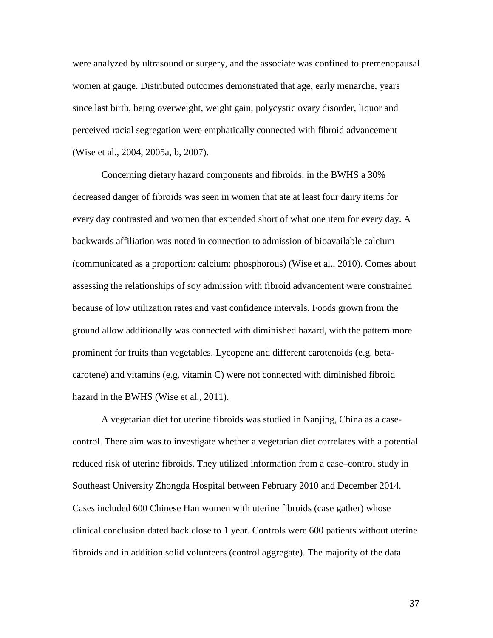were analyzed by ultrasound or surgery, and the associate was confined to premenopausal women at gauge. Distributed outcomes demonstrated that age, early menarche, years since last birth, being overweight, weight gain, polycystic ovary disorder, liquor and perceived racial segregation were emphatically connected with fibroid advancement (Wise et al., 2004, 2005a, b, 2007).

Concerning dietary hazard components and fibroids, in the BWHS a 30% decreased danger of fibroids was seen in women that ate at least four dairy items for every day contrasted and women that expended short of what one item for every day. A backwards affiliation was noted in connection to admission of bioavailable calcium (communicated as a proportion: calcium: phosphorous) (Wise et al., 2010). Comes about assessing the relationships of soy admission with fibroid advancement were constrained because of low utilization rates and vast confidence intervals. Foods grown from the ground allow additionally was connected with diminished hazard, with the pattern more prominent for fruits than vegetables. Lycopene and different carotenoids (e.g. betacarotene) and vitamins (e.g. vitamin C) were not connected with diminished fibroid hazard in the BWHS (Wise et al., 2011).

A vegetarian diet for uterine fibroids was studied in Nanjing, China as a casecontrol. There aim was to investigate whether a vegetarian diet correlates with a potential reduced risk of uterine fibroids. They utilized information from a case–control study in Southeast University Zhongda Hospital between February 2010 and December 2014. Cases included 600 Chinese Han women with uterine fibroids (case gather) whose clinical conclusion dated back close to 1 year. Controls were 600 patients without uterine fibroids and in addition solid volunteers (control aggregate). The majority of the data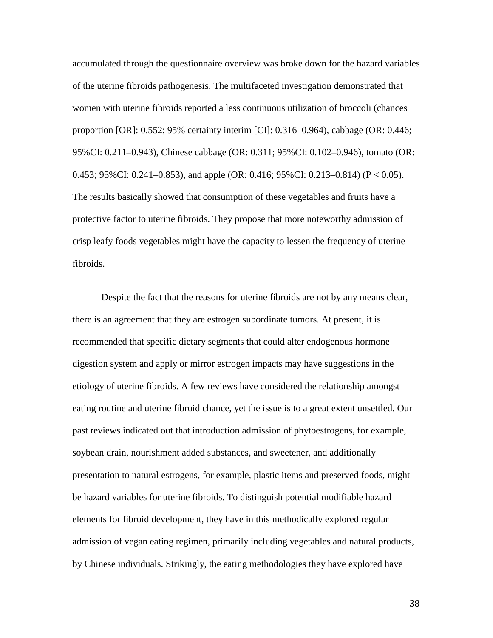accumulated through the questionnaire overview was broke down for the hazard variables of the uterine fibroids pathogenesis. The multifaceted investigation demonstrated that women with uterine fibroids reported a less continuous utilization of broccoli (chances proportion [OR]: 0.552; 95% certainty interim [CI]: 0.316–0.964), cabbage (OR: 0.446; 95%CI: 0.211–0.943), Chinese cabbage (OR: 0.311; 95%CI: 0.102–0.946), tomato (OR: 0.453; 95%CI: 0.241–0.853), and apple (OR: 0.416; 95%CI: 0.213–0.814) ( $P < 0.05$ ). The results basically showed that consumption of these vegetables and fruits have a protective factor to uterine fibroids. They propose that more noteworthy admission of crisp leafy foods vegetables might have the capacity to lessen the frequency of uterine fibroids.

Despite the fact that the reasons for uterine fibroids are not by any means clear, there is an agreement that they are estrogen subordinate tumors. At present, it is recommended that specific dietary segments that could alter endogenous hormone digestion system and apply or mirror estrogen impacts may have suggestions in the etiology of uterine fibroids. A few reviews have considered the relationship amongst eating routine and uterine fibroid chance, yet the issue is to a great extent unsettled. Our past reviews indicated out that introduction admission of phytoestrogens, for example, soybean drain, nourishment added substances, and sweetener, and additionally presentation to natural estrogens, for example, plastic items and preserved foods, might be hazard variables for uterine fibroids. To distinguish potential modifiable hazard elements for fibroid development, they have in this methodically explored regular admission of vegan eating regimen, primarily including vegetables and natural products, by Chinese individuals. Strikingly, the eating methodologies they have explored have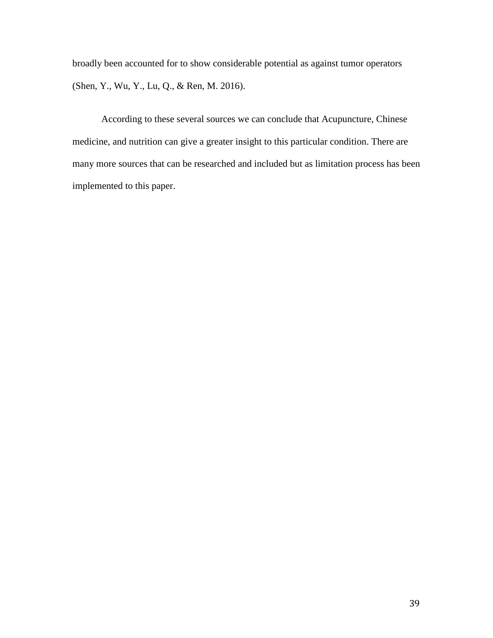broadly been accounted for to show considerable potential as against tumor operators (Shen, Y., Wu, Y., Lu, Q., & Ren, M. 2016).

According to these several sources we can conclude that Acupuncture, Chinese medicine, and nutrition can give a greater insight to this particular condition. There are many more sources that can be researched and included but as limitation process has been implemented to this paper.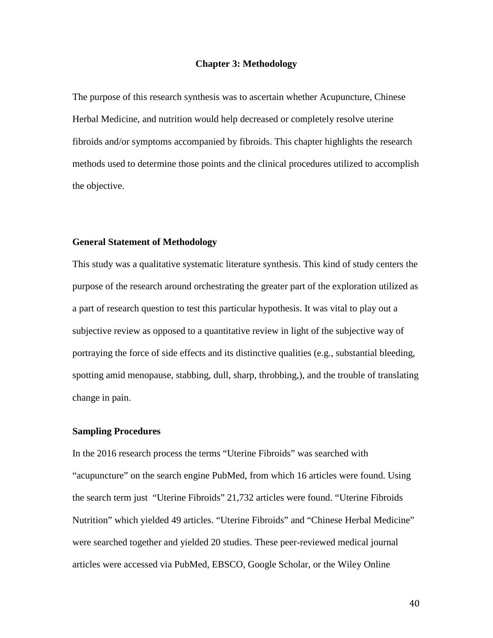#### **Chapter 3: Methodology**

The purpose of this research synthesis was to ascertain whether Acupuncture, Chinese Herbal Medicine, and nutrition would help decreased or completely resolve uterine fibroids and/or symptoms accompanied by fibroids. This chapter highlights the research methods used to determine those points and the clinical procedures utilized to accomplish the objective.

### **General Statement of Methodology**

This study was a qualitative systematic literature synthesis. This kind of study centers the purpose of the research around orchestrating the greater part of the exploration utilized as a part of research question to test this particular hypothesis. It was vital to play out a subjective review as opposed to a quantitative review in light of the subjective way of portraying the force of side effects and its distinctive qualities (e.g., substantial bleeding, spotting amid menopause, stabbing, dull, sharp, throbbing,), and the trouble of translating change in pain.

#### **Sampling Procedures**

In the 2016 research process the terms "Uterine Fibroids" was searched with "acupuncture" on the search engine PubMed, from which 16 articles were found. Using the search term just "Uterine Fibroids" 21,732 articles were found. "Uterine Fibroids Nutrition" which yielded 49 articles. "Uterine Fibroids" and "Chinese Herbal Medicine" were searched together and yielded 20 studies. These peer-reviewed medical journal articles were accessed via PubMed, EBSCO, Google Scholar, or the Wiley Online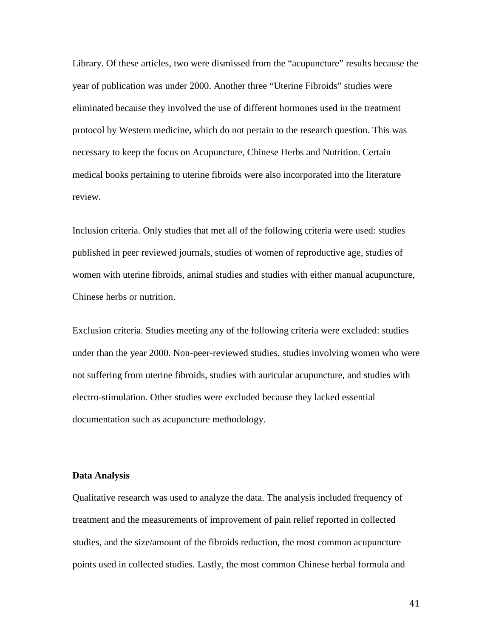Library. Of these articles, two were dismissed from the "acupuncture" results because the year of publication was under 2000. Another three "Uterine Fibroids" studies were eliminated because they involved the use of different hormones used in the treatment protocol by Western medicine, which do not pertain to the research question. This was necessary to keep the focus on Acupuncture, Chinese Herbs and Nutrition. Certain medical books pertaining to uterine fibroids were also incorporated into the literature review.

Inclusion criteria. Only studies that met all of the following criteria were used: studies published in peer reviewed journals, studies of women of reproductive age, studies of women with uterine fibroids, animal studies and studies with either manual acupuncture, Chinese herbs or nutrition.

Exclusion criteria. Studies meeting any of the following criteria were excluded: studies under than the year 2000. Non-peer-reviewed studies, studies involving women who were not suffering from uterine fibroids, studies with auricular acupuncture, and studies with electro-stimulation. Other studies were excluded because they lacked essential documentation such as acupuncture methodology.

#### **Data Analysis**

Qualitative research was used to analyze the data. The analysis included frequency of treatment and the measurements of improvement of pain relief reported in collected studies, and the size/amount of the fibroids reduction, the most common acupuncture points used in collected studies. Lastly, the most common Chinese herbal formula and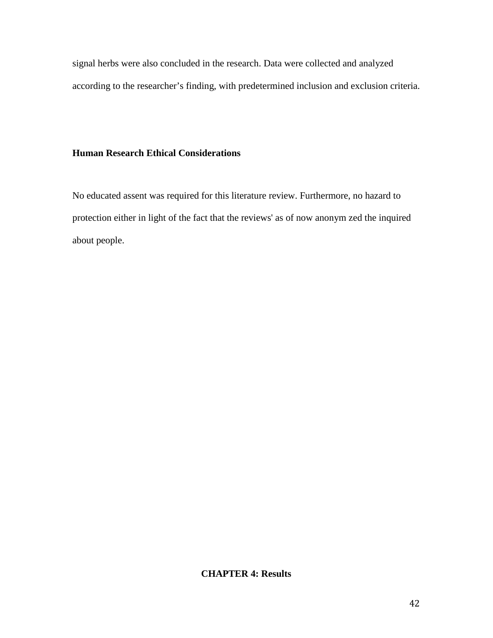signal herbs were also concluded in the research. Data were collected and analyzed according to the researcher's finding, with predetermined inclusion and exclusion criteria.

# **Human Research Ethical Considerations**

No educated assent was required for this literature review. Furthermore, no hazard to protection either in light of the fact that the reviews' as of now anonym zed the inquired about people.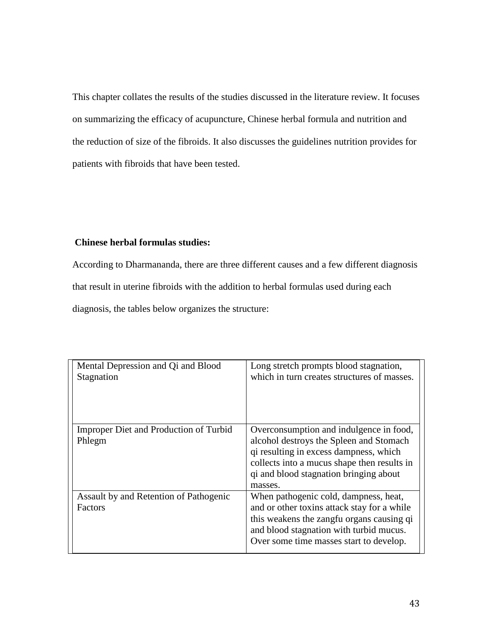This chapter collates the results of the studies discussed in the literature review. It focuses on summarizing the efficacy of acupuncture, Chinese herbal formula and nutrition and the reduction of size of the fibroids. It also discusses the guidelines nutrition provides for patients with fibroids that have been tested.

# **Chinese herbal formulas studies:**

According to Dharmananda, there are three different causes and a few different diagnosis that result in uterine fibroids with the addition to herbal formulas used during each diagnosis, the tables below organizes the structure:

| Mental Depression and Qi and Blood<br>Stagnation  | Long stretch prompts blood stagnation,<br>which in turn creates structures of masses.                                                                                                                                            |
|---------------------------------------------------|----------------------------------------------------------------------------------------------------------------------------------------------------------------------------------------------------------------------------------|
| Improper Diet and Production of Turbid<br>Phlegm  | Overconsumption and indulgence in food,<br>alcohol destroys the Spleen and Stomach<br>qi resulting in excess dampness, which<br>collects into a mucus shape then results in<br>qi and blood stagnation bringing about<br>masses. |
| Assault by and Retention of Pathogenic<br>Factors | When pathogenic cold, dampness, heat,<br>and or other toxins attack stay for a while<br>this weakens the zangfu organs causing qi<br>and blood stagnation with turbid mucus.<br>Over some time masses start to develop.          |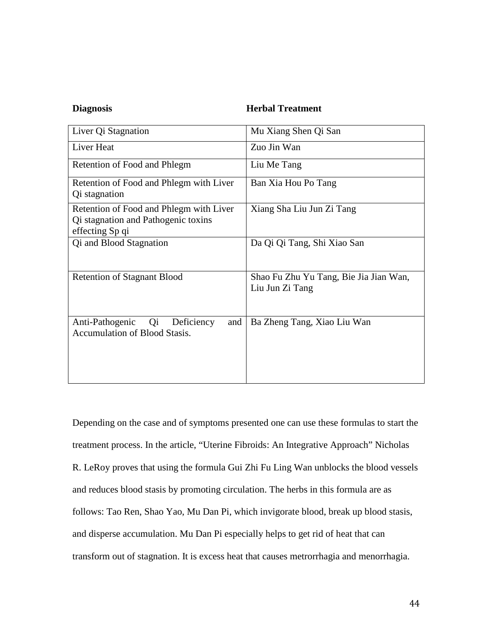## **Diagnosis Herbal Treatment**

| Liver Qi Stagnation                                                                               | Mu Xiang Shen Qi San                                      |
|---------------------------------------------------------------------------------------------------|-----------------------------------------------------------|
| Liver Heat                                                                                        | Zuo Jin Wan                                               |
| Retention of Food and Phlegm                                                                      | Liu Me Tang                                               |
| Retention of Food and Phlegm with Liver<br>Qi stagnation                                          | Ban Xia Hou Po Tang                                       |
| Retention of Food and Phlegm with Liver<br>Qi stagnation and Pathogenic toxins<br>effecting Sp qi | Xiang Sha Liu Jun Zi Tang                                 |
| Qi and Blood Stagnation                                                                           | Da Qi Qi Tang, Shi Xiao San                               |
| <b>Retention of Stagnant Blood</b>                                                                | Shao Fu Zhu Yu Tang, Bie Jia Jian Wan,<br>Liu Jun Zi Tang |
| Anti-Pathogenic<br>Deficiency<br>Q <sub>i</sub><br>and<br><b>Accumulation of Blood Stasis.</b>    | Ba Zheng Tang, Xiao Liu Wan                               |

Depending on the case and of symptoms presented one can use these formulas to start the treatment process. In the article, "Uterine Fibroids: An Integrative Approach" Nicholas R. LeRoy proves that using the formula Gui Zhi Fu Ling Wan unblocks the blood vessels and reduces blood stasis by promoting circulation. The herbs in this formula are as follows: Tao Ren, Shao Yao, Mu Dan Pi, which invigorate blood, break up blood stasis, and disperse accumulation. Mu Dan Pi especially helps to get rid of heat that can transform out of stagnation. It is excess heat that causes metrorrhagia and menorrhagia.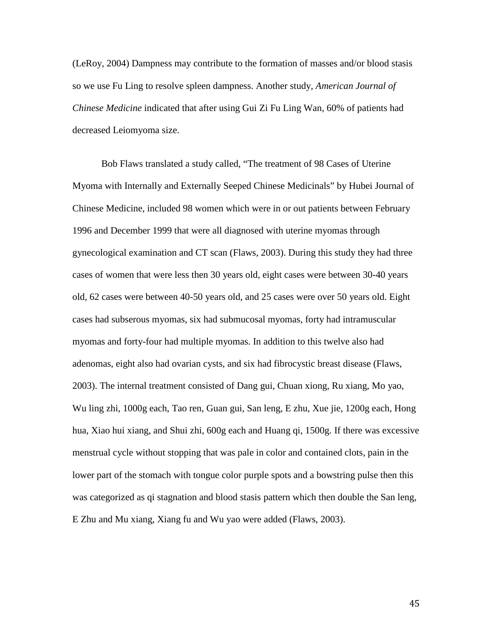(LeRoy, 2004) Dampness may contribute to the formation of masses and/or blood stasis so we use Fu Ling to resolve spleen dampness. Another study, *American Journal of Chinese Medicine* indicated that after using Gui Zi Fu Ling Wan, 60% of patients had decreased Leiomyoma size.

Bob Flaws translated a study called, "The treatment of 98 Cases of Uterine Myoma with Internally and Externally Seeped Chinese Medicinals" by Hubei Journal of Chinese Medicine, included 98 women which were in or out patients between February 1996 and December 1999 that were all diagnosed with uterine myomas through gynecological examination and CT scan (Flaws, 2003). During this study they had three cases of women that were less then 30 years old, eight cases were between 30-40 years old, 62 cases were between 40-50 years old, and 25 cases were over 50 years old. Eight cases had subserous myomas, six had submucosal myomas, forty had intramuscular myomas and forty-four had multiple myomas. In addition to this twelve also had adenomas, eight also had ovarian cysts, and six had fibrocystic breast disease (Flaws, 2003). The internal treatment consisted of Dang gui, Chuan xiong, Ru xiang, Mo yao, Wu ling zhi, 1000g each, Tao ren, Guan gui, San leng, E zhu, Xue jie, 1200g each, Hong hua, Xiao hui xiang, and Shui zhi, 600g each and Huang qi, 1500g. If there was excessive menstrual cycle without stopping that was pale in color and contained clots, pain in the lower part of the stomach with tongue color purple spots and a bowstring pulse then this was categorized as qi stagnation and blood stasis pattern which then double the San leng, E Zhu and Mu xiang, Xiang fu and Wu yao were added (Flaws, 2003).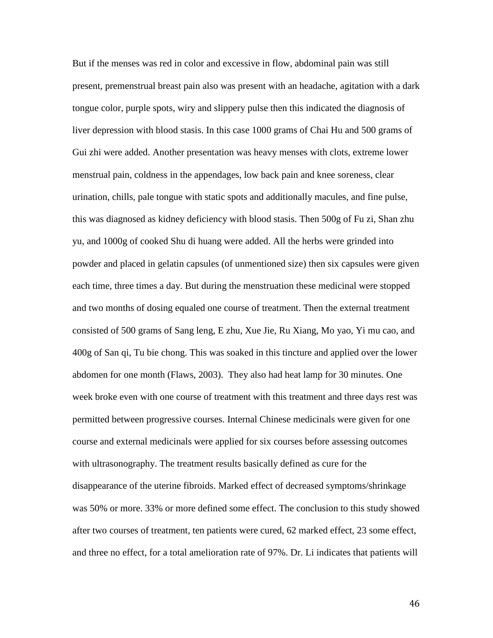But if the menses was red in color and excessive in flow, abdominal pain was still present, premenstrual breast pain also was present with an headache, agitation with a dark tongue color, purple spots, wiry and slippery pulse then this indicated the diagnosis of liver depression with blood stasis. In this case 1000 grams of Chai Hu and 500 grams of Gui zhi were added. Another presentation was heavy menses with clots, extreme lower menstrual pain, coldness in the appendages, low back pain and knee soreness, clear urination, chills, pale tongue with static spots and additionally macules, and fine pulse, this was diagnosed as kidney deficiency with blood stasis. Then 500g of Fu zi, Shan zhu yu, and 1000g of cooked Shu di huang were added. All the herbs were grinded into powder and placed in gelatin capsules (of unmentioned size) then six capsules were given each time, three times a day. But during the menstruation these medicinal were stopped and two months of dosing equaled one course of treatment. Then the external treatment consisted of 500 grams of Sang leng, E zhu, Xue Jie, Ru Xiang, Mo yao, Yi mu cao, and 400g of San qi, Tu bie chong. This was soaked in this tincture and applied over the lower abdomen for one month (Flaws, 2003). They also had heat lamp for 30 minutes. One week broke even with one course of treatment with this treatment and three days rest was permitted between progressive courses. Internal Chinese medicinals were given for one course and external medicinals were applied for six courses before assessing outcomes with ultrasonography. The treatment results basically defined as cure for the disappearance of the uterine fibroids. Marked effect of decreased symptoms/shrinkage was 50% or more. 33% or more defined some effect. The conclusion to this study showed after two courses of treatment, ten patients were cured, 62 marked effect, 23 some effect, and three no effect, for a total amelioration rate of 97%. Dr. Li indicates that patients will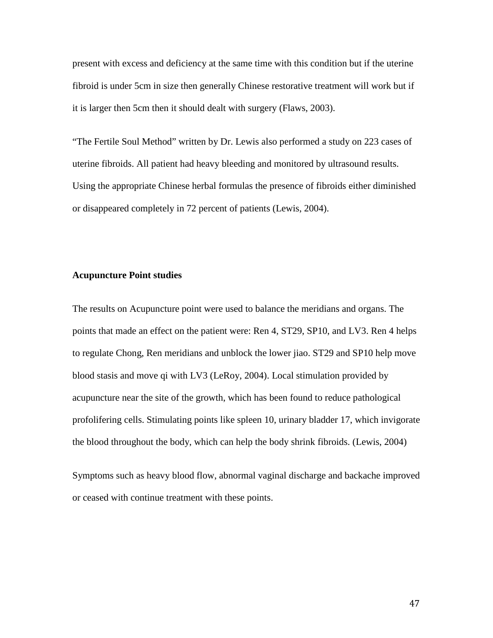present with excess and deficiency at the same time with this condition but if the uterine fibroid is under 5cm in size then generally Chinese restorative treatment will work but if it is larger then 5cm then it should dealt with surgery (Flaws, 2003).

"The Fertile Soul Method" written by Dr. Lewis also performed a study on 223 cases of uterine fibroids. All patient had heavy bleeding and monitored by ultrasound results. Using the appropriate Chinese herbal formulas the presence of fibroids either diminished or disappeared completely in 72 percent of patients (Lewis, 2004).

# **Acupuncture Point studies**

The results on Acupuncture point were used to balance the meridians and organs. The points that made an effect on the patient were: Ren 4, ST29, SP10, and LV3. Ren 4 helps to regulate Chong, Ren meridians and unblock the lower jiao. ST29 and SP10 help move blood stasis and move qi with LV3 (LeRoy, 2004). Local stimulation provided by acupuncture near the site of the growth, which has been found to reduce pathological profolifering cells. Stimulating points like spleen 10, urinary bladder 17, which invigorate the blood throughout the body, which can help the body shrink fibroids. (Lewis, 2004)

Symptoms such as heavy blood flow, abnormal vaginal discharge and backache improved or ceased with continue treatment with these points.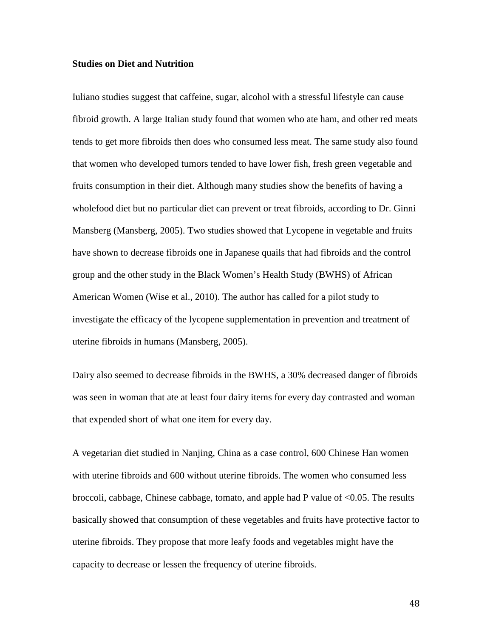#### **Studies on Diet and Nutrition**

Iuliano studies suggest that caffeine, sugar, alcohol with a stressful lifestyle can cause fibroid growth. A large Italian study found that women who ate ham, and other red meats tends to get more fibroids then does who consumed less meat. The same study also found that women who developed tumors tended to have lower fish, fresh green vegetable and fruits consumption in their diet. Although many studies show the benefits of having a wholefood diet but no particular diet can prevent or treat fibroids, according to Dr. Ginni Mansberg (Mansberg, 2005). Two studies showed that Lycopene in vegetable and fruits have shown to decrease fibroids one in Japanese quails that had fibroids and the control group and the other study in the Black Women's Health Study (BWHS) of African American Women (Wise et al., 2010). The author has called for a pilot study to investigate the efficacy of the lycopene supplementation in prevention and treatment of uterine fibroids in humans (Mansberg, 2005).

Dairy also seemed to decrease fibroids in the BWHS, a 30% decreased danger of fibroids was seen in woman that ate at least four dairy items for every day contrasted and woman that expended short of what one item for every day.

A vegetarian diet studied in Nanjing, China as a case control, 600 Chinese Han women with uterine fibroids and 600 without uterine fibroids. The women who consumed less broccoli, cabbage, Chinese cabbage, tomato, and apple had P value of <0.05. The results basically showed that consumption of these vegetables and fruits have protective factor to uterine fibroids. They propose that more leafy foods and vegetables might have the capacity to decrease or lessen the frequency of uterine fibroids.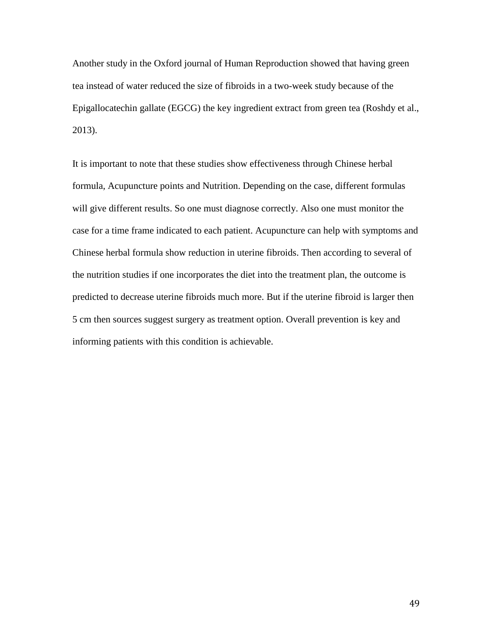Another study in the Oxford journal of Human Reproduction showed that having green tea instead of water reduced the size of fibroids in a two-week study because of the Epigallocatechin gallate (EGCG) the key ingredient extract from green tea (Roshdy et al., 2013).

It is important to note that these studies show effectiveness through Chinese herbal formula, Acupuncture points and Nutrition. Depending on the case, different formulas will give different results. So one must diagnose correctly. Also one must monitor the case for a time frame indicated to each patient. Acupuncture can help with symptoms and Chinese herbal formula show reduction in uterine fibroids. Then according to several of the nutrition studies if one incorporates the diet into the treatment plan, the outcome is predicted to decrease uterine fibroids much more. But if the uterine fibroid is larger then 5 cm then sources suggest surgery as treatment option. Overall prevention is key and informing patients with this condition is achievable.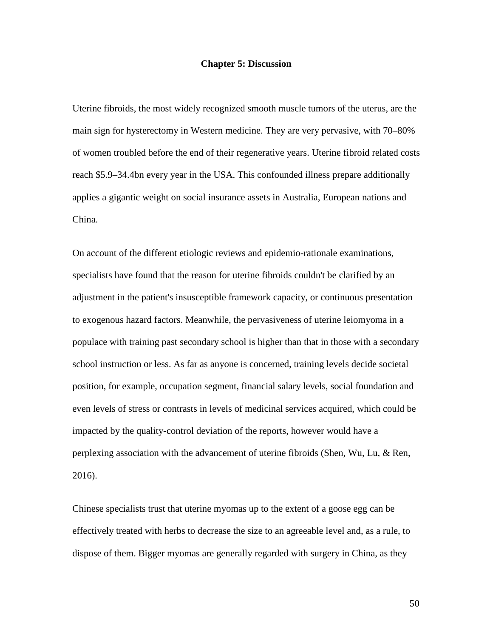#### **Chapter 5: Discussion**

Uterine fibroids, the most widely recognized smooth muscle tumors of the uterus, are the main sign for hysterectomy in Western medicine. They are very pervasive, with 70–80% of women troubled before the end of their regenerative years. Uterine fibroid related costs reach \$5.9–34.4bn every year in the USA. This confounded illness prepare additionally applies a gigantic weight on social insurance assets in Australia, European nations and China.

On account of the different etiologic reviews and epidemio-rationale examinations, specialists have found that the reason for uterine fibroids couldn't be clarified by an adjustment in the patient's insusceptible framework capacity, or continuous presentation to exogenous hazard factors. Meanwhile, the pervasiveness of uterine leiomyoma in a populace with training past secondary school is higher than that in those with a secondary school instruction or less. As far as anyone is concerned, training levels decide societal position, for example, occupation segment, financial salary levels, social foundation and even levels of stress or contrasts in levels of medicinal services acquired, which could be impacted by the quality-control deviation of the reports, however would have a perplexing association with the advancement of uterine fibroids (Shen, Wu, Lu, & Ren, 2016).

Chinese specialists trust that uterine myomas up to the extent of a goose egg can be effectively treated with herbs to decrease the size to an agreeable level and, as a rule, to dispose of them. Bigger myomas are generally regarded with surgery in China, as they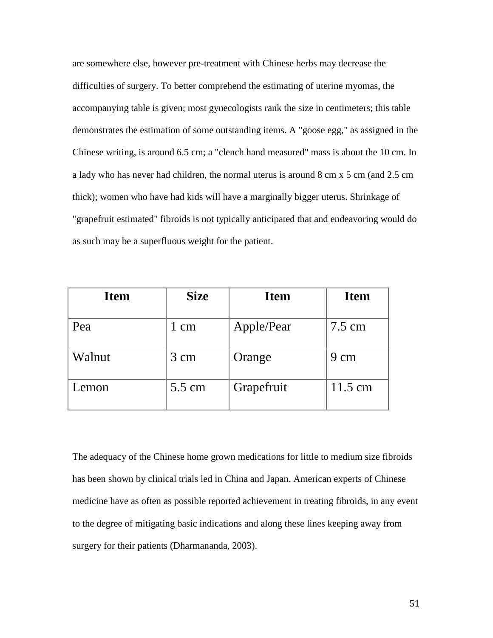are somewhere else, however pre-treatment with Chinese herbs may decrease the difficulties of surgery. To better comprehend the estimating of uterine myomas, the accompanying table is given; most gynecologists rank the size in centimeters; this table demonstrates the estimation of some outstanding items. A "goose egg," as assigned in the Chinese writing, is around 6.5 cm; a "clench hand measured" mass is about the 10 cm. In a lady who has never had children, the normal uterus is around 8 cm x 5 cm (and 2.5 cm thick); women who have had kids will have a marginally bigger uterus. Shrinkage of "grapefruit estimated" fibroids is not typically anticipated that and endeavoring would do as such may be a superfluous weight for the patient.

| <b>Item</b> | <b>Size</b>    | <b>Item</b> | <b>Item</b>      |
|-------------|----------------|-------------|------------------|
| Pea         | 1 cm           | Apple/Pear  | $7.5 \text{ cm}$ |
| Walnut      | $3 \text{ cm}$ | Orange      | 9 cm             |
| Lemon       | 5.5 cm         | Grapefruit  | 11.5 cm          |

The adequacy of the Chinese home grown medications for little to medium size fibroids has been shown by clinical trials led in China and Japan. American experts of Chinese medicine have as often as possible reported achievement in treating fibroids, in any event to the degree of mitigating basic indications and along these lines keeping away from surgery for their patients (Dharmananda, 2003).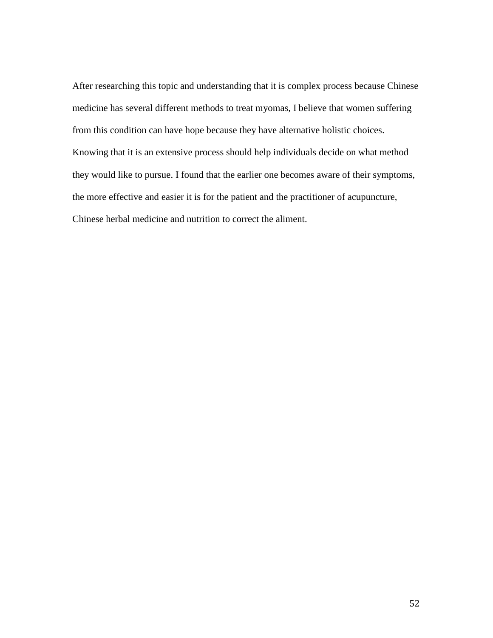After researching this topic and understanding that it is complex process because Chinese medicine has several different methods to treat myomas, I believe that women suffering from this condition can have hope because they have alternative holistic choices. Knowing that it is an extensive process should help individuals decide on what method they would like to pursue. I found that the earlier one becomes aware of their symptoms, the more effective and easier it is for the patient and the practitioner of acupuncture, Chinese herbal medicine and nutrition to correct the aliment.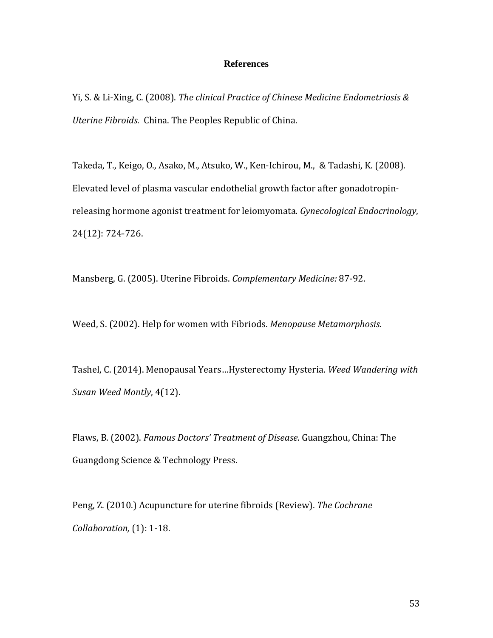# **References**

Yi, S. & Li-Xing, C. (2008). *The clinical Practice of Chinese Medicine Endometriosis & Uterine Fibroids*. China. The Peoples Republic of China.

Takeda, T., Keigo, O., Asako, M., Atsuko, W., Ken-Ichirou, M., & Tadashi, K. (2008). Elevated level of plasma vascular endothelial growth factor after gonadotropinreleasing hormone agonist treatment for leiomyomata*. Gynecological Endocrinology*, 24(12): 724-726.

Mansberg, G. (2005). Uterine Fibroids. *Complementary Medicine:* 87-92.

Weed, S. (2002). Help for women with Fibriods. *Menopause Metamorphosis.*

Tashel, C. (2014). Menopausal Years…Hysterectomy Hysteria. *Weed Wandering with Susan Weed Montly*, 4(12).

Flaws, B. (2002). *Famous Doctors' Treatment of Disease.* Guangzhou, China: The Guangdong Science & Technology Press.

Peng, Z. (2010.) Acupuncture for uterine fibroids (Review). *The Cochrane Collaboration,* (1): 1-18.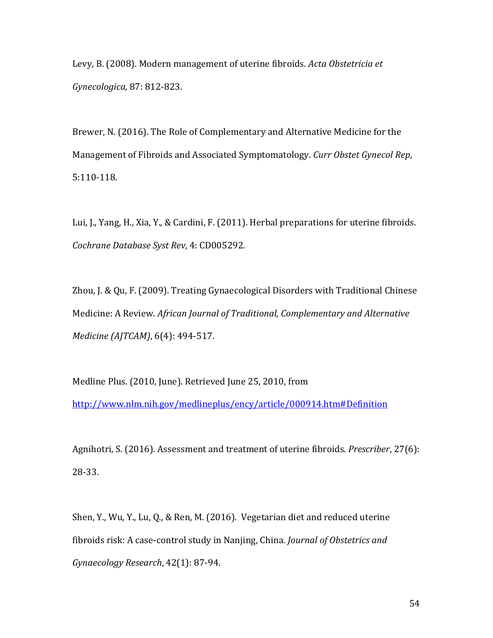Levy, B. (2008). Modern management of uterine fibroids. *Acta Obstetricia et Gynecologica,* 87: 812-823.

Brewer, N. (2016). The Role of Complementary and Alternative Medicine for the Management of Fibroids and Associated Symptomatology. *Curr Obstet Gynecol Rep*, 5:110-118.

Lui, J., Yang, H., Xia, Y., & Cardini, F. (2011). Herbal preparations for uterine fibroids. *Cochrane Database Syst Rev*, 4: CD005292.

Zhou, J. & Qu, F. (2009). Treating Gynaecological Disorders with Traditional Chinese Medicine: A Review. *African Journal of Traditional, Complementary and Alternative Medicine (AJTCAM)*, 6(4): 494-517.

Medline Plus. (2010, June). Retrieved June 25, 2010, from <http://www.nlm.nih.gov/medlineplus/ency/article/000914.htm#Definition>

Agnihotri, S. (2016). Assessment and treatment of uterine fibroids. *Prescriber*, 27(6): 28-33.

Shen, Y., Wu, Y., Lu, Q., & Ren, M. (2016). Vegetarian diet and reduced uterine fibroids risk: A case-control study in Nanjing, China. *Journal of Obstetrics and Gynaecology Research*, 42(1): 87-94.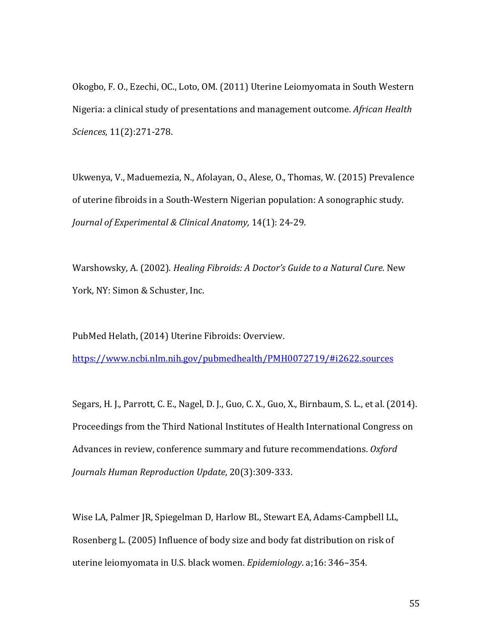Okogbo, F. O., Ezechi, OC., Loto, OM. (2011) Uterine Leiomyomata in South Western Nigeria: a clinical study of presentations and management outcome. *African Health Sciences,* 11(2):271-278.

Ukwenya, V., Maduemezia, N., Afolayan, O., Alese, O., Thomas, W. (2015) Prevalence of uterine fibroids in a South-Western Nigerian population: A sonographic study. *Journal of Experimental & Clinical Anatomy,* 14(1): 24-29.

Warshowsky, A. (2002). *Healing Fibroids: A Doctor's Guide to a Natural Cure.* New York, NY: Simon & Schuster, Inc.

PubMed Helath, (2014) Uterine Fibroids: Overview.

<https://www.ncbi.nlm.nih.gov/pubmedhealth/PMH0072719/#i2622.sources>

Segars, H. J., Parrott, C. E., Nagel, D. J., Guo, C. X., Guo, X., Birnbaum, S. L., et al. (2014). Proceedings from the Third National Institutes of Health International Congress on Advances in review, conference summary and future recommendations. *Oxford Journals Human Reproduction Update*, 20(3):309-333.

Wise LA, Palmer JR, Spiegelman D, Harlow BL, Stewart EA, Adams-Campbell LL, Rosenberg L. (2005) Influence of body size and body fat distribution on risk of uterine leiomyomata in U.S. black women. *Epidemiology*. a;16: 346–354.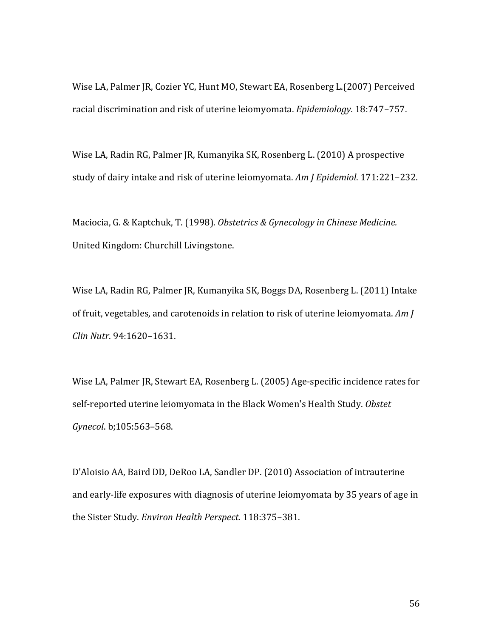Wise LA, Palmer JR, Cozier YC, Hunt MO, Stewart EA, Rosenberg L.(2007) Perceived racial discrimination and risk of uterine leiomyomata. *Epidemiology*. 18:747–757.

Wise LA, Radin RG, Palmer JR, Kumanyika SK, Rosenberg L. (2010) A prospective study of dairy intake and risk of uterine leiomyomata. *Am J Epidemiol*. 171:221–232.

Maciocia, G. & Kaptchuk, T. (1998). *Obstetrics & Gynecology in Chinese Medicine.*  United Kingdom: Churchill Livingstone.

Wise LA, Radin RG, Palmer JR, Kumanyika SK, Boggs DA, Rosenberg L. (2011) Intake of fruit, vegetables, and carotenoids in relation to risk of uterine leiomyomata. *Am J Clin Nutr*. 94:1620–1631.

Wise LA, Palmer JR, Stewart EA, Rosenberg L. (2005) Age-specific incidence rates for self-reported uterine leiomyomata in the Black Women's Health Study. *Obstet Gynecol*. b;105:563–568.

D'Aloisio AA, Baird DD, DeRoo LA, Sandler DP. (2010) Association of intrauterine and early-life exposures with diagnosis of uterine leiomyomata by 35 years of age in the Sister Study. *Environ Health Perspect*. 118:375–381.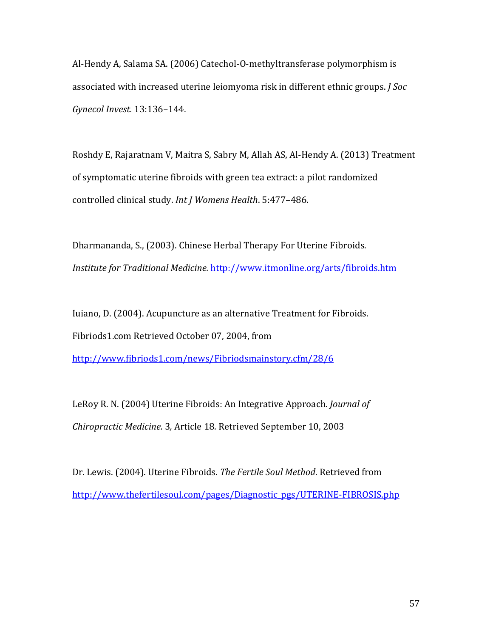Al-Hendy A, Salama SA. (2006) Catechol-O-methyltransferase polymorphism is associated with increased uterine leiomyoma risk in different ethnic groups. *J Soc Gynecol Invest.* 13:136–144.

Roshdy E, Rajaratnam V, Maitra S, Sabry M, Allah AS, Al-Hendy A. (2013) Treatment of symptomatic uterine fibroids with green tea extract: a pilot randomized controlled clinical study. *Int J Womens Health*. 5:477–486.

Dharmananda, S., (2003). Chinese Herbal Therapy For Uterine Fibroids. *Institute for Traditional Medicine.* <http://www.itmonline.org/arts/fibroids.htm>

Iuiano, D. (2004). Acupuncture as an alternative Treatment for Fibroids. Fibriods1.com Retrieved October 07, 2004, from <http://www.fibriods1.com/news/Fibriodsmainstory.cfm/28/6>

LeRoy R. N. (2004) Uterine Fibroids: An Integrative Approach. *Journal of Chiropractic Medicine.* 3*,* Article 18*.* Retrieved September 10, 2003

Dr. Lewis. (2004). Uterine Fibroids. *The Fertile Soul Method*. Retrieved from [http://www.thefertilesoul.com/pages/Diagnostic\\_pgs/UTERINE-FIBROSIS.php](http://www.thefertilesoul.com/pages/Diagnostic_pgs/UTERINE-FIBROSIS.php)